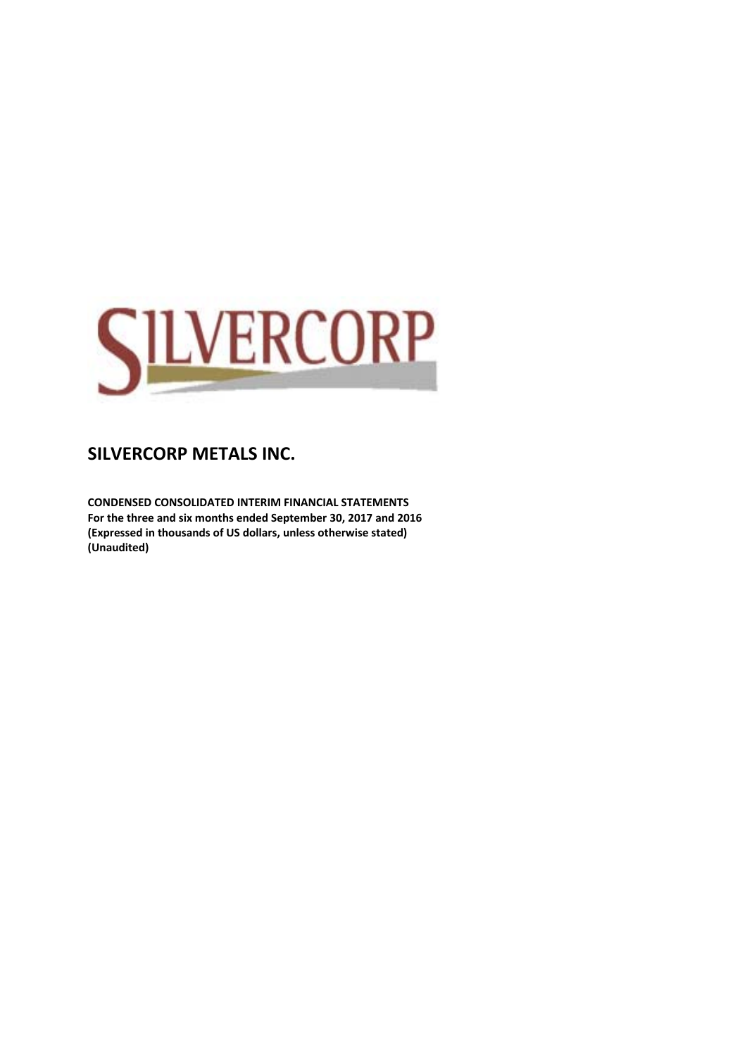

**CONDENSED CONSOLIDATED INTERIM FINANCIAL STATEMENTS For the three and six months ended September 30, 2017 and 2016 (Expressed in thousands of US dollars, unless otherwise stated) (Unaudited)**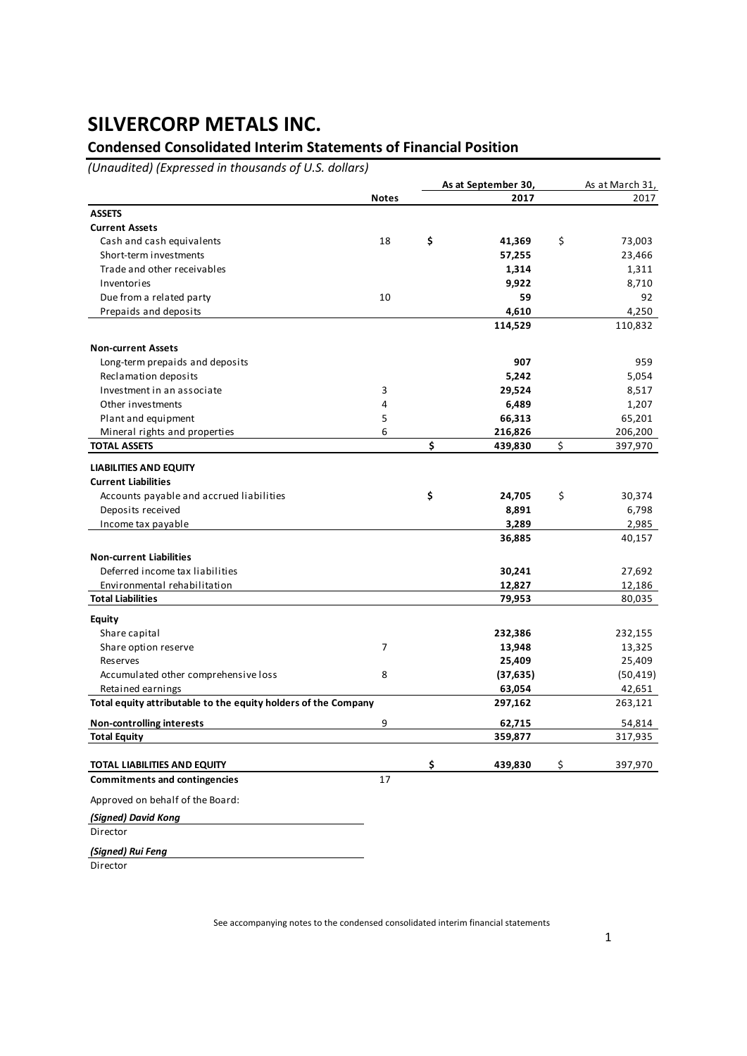## **Condensed Consolidated Interim Statements of Financial Position**

*(Unaudited) (Expressed in thousands of U.S. dollars)*

|                                                                |              | As at September 30, |           | As at March 31, |
|----------------------------------------------------------------|--------------|---------------------|-----------|-----------------|
|                                                                | <b>Notes</b> |                     | 2017      | 2017            |
| <b>ASSETS</b>                                                  |              |                     |           |                 |
| <b>Current Assets</b>                                          |              |                     |           |                 |
| Cash and cash equivalents                                      | 18           | \$                  | 41,369    | \$<br>73,003    |
| Short-term investments                                         |              |                     | 57,255    | 23,466          |
| Trade and other receivables                                    |              |                     | 1,314     | 1,311           |
| Inventories                                                    |              |                     | 9,922     | 8,710           |
| Due from a related party                                       | 10           |                     | 59        | 92              |
| Prepaids and deposits                                          |              |                     | 4,610     | 4,250           |
|                                                                |              |                     | 114,529   | 110,832         |
| <b>Non-current Assets</b>                                      |              |                     |           |                 |
| Long-term prepaids and deposits                                |              |                     | 907       | 959             |
| Reclamation deposits                                           |              |                     | 5,242     | 5,054           |
| Investment in an associate                                     | 3            |                     | 29,524    | 8,517           |
| Other investments                                              | 4            |                     | 6,489     | 1,207           |
| Plant and equipment                                            | 5            |                     | 66,313    | 65,201          |
| Mineral rights and properties                                  | 6            |                     | 216,826   | 206,200         |
| <b>TOTAL ASSETS</b>                                            |              | \$                  | 439,830   | \$<br>397,970   |
| <b>LIABILITIES AND EQUITY</b>                                  |              |                     |           |                 |
| <b>Current Liabilities</b>                                     |              |                     |           |                 |
| Accounts payable and accrued liabilities                       |              | \$                  | 24,705    | \$<br>30,374    |
| Deposits received                                              |              |                     | 8,891     | 6,798           |
| Income tax payable                                             |              |                     | 3,289     | 2,985           |
|                                                                |              |                     | 36,885    | 40,157          |
| <b>Non-current Liabilities</b>                                 |              |                     |           |                 |
| Deferred income tax liabilities                                |              |                     | 30,241    | 27,692          |
| Environmental rehabilitation                                   |              |                     | 12,827    | 12,186          |
| <b>Total Liabilities</b>                                       |              |                     | 79,953    | 80,035          |
| <b>Equity</b>                                                  |              |                     |           |                 |
| Share capital                                                  |              |                     | 232,386   | 232,155         |
| Share option reserve                                           | 7            |                     | 13,948    | 13,325          |
| Reserves                                                       |              |                     | 25,409    | 25,409          |
| Accumulated other comprehensive loss                           | 8            |                     | (37, 635) | (50, 419)       |
| Retained earnings                                              |              |                     | 63,054    | 42,651          |
| Total equity attributable to the equity holders of the Company |              |                     | 297,162   | 263,121         |
| <b>Non-controlling interests</b>                               | 9            |                     | 62,715    | 54,814          |
| <b>Total Equity</b>                                            |              |                     | 359,877   | 317,935         |
| TOTAL LIABILITIES AND EQUITY                                   |              | \$                  | 439,830   | \$<br>397,970   |
| <b>Commitments and contingencies</b>                           | 17           |                     |           |                 |
| Approved on behalf of the Board:                               |              |                     |           |                 |
| (Signed) David Kong                                            |              |                     |           |                 |

**Director** 

*(Signed) Rui Feng*

Director

See accompanying notes to the condensed consolidated interim financial statements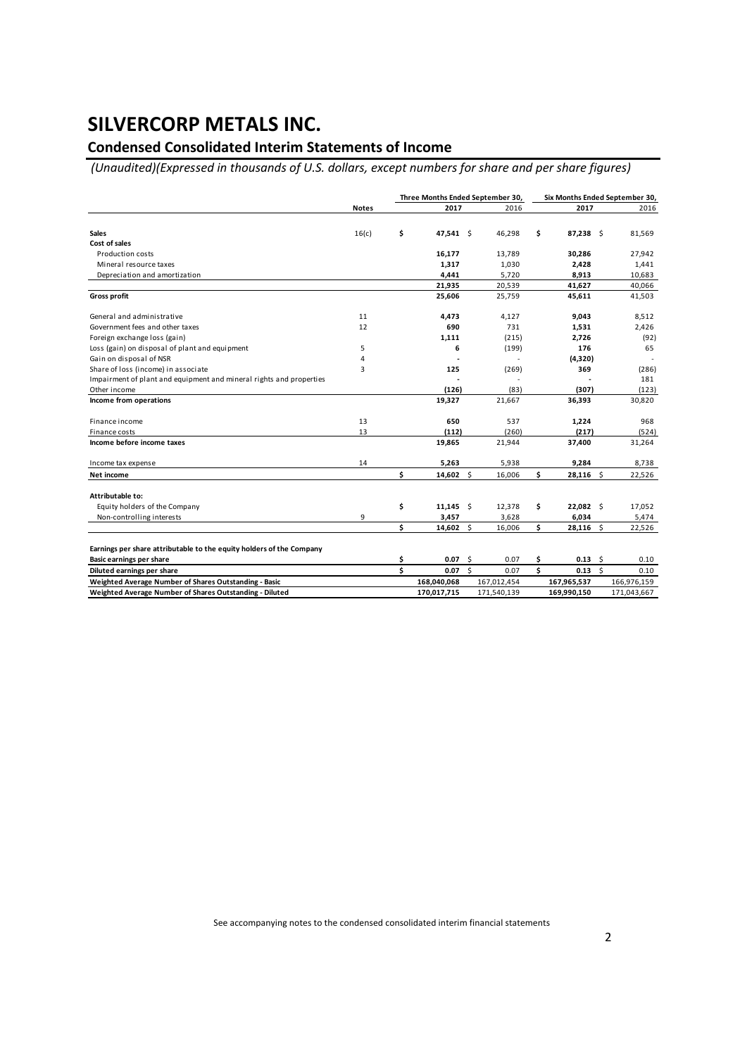## **Condensed Consolidated Interim Statements of Income**

*(Unaudited)(Expressed in thousands of U.S. dollars, except numbers for share and per share figures)*

|                                                                      |              | Three Months Ended September 30, |             |                    |             |    |                       |    | Six Months Ended September 30, |  |
|----------------------------------------------------------------------|--------------|----------------------------------|-------------|--------------------|-------------|----|-----------------------|----|--------------------------------|--|
|                                                                      | <b>Notes</b> |                                  | 2017        |                    | 2016        |    | 2017                  |    | 2016                           |  |
| <b>Sales</b>                                                         | 16(c)        | \$                               | 47,541 \$   |                    | 46,298      | \$ | 87,238                | Ŝ. | 81,569                         |  |
| Cost of sales                                                        |              |                                  |             |                    |             |    |                       |    |                                |  |
| <b>Production costs</b>                                              |              |                                  | 16,177      |                    | 13,789      |    | 30,286                |    | 27,942                         |  |
| Mineral resource taxes                                               |              |                                  | 1,317       |                    | 1,030       |    | 2,428                 |    | 1,441                          |  |
| Depreciation and amortization                                        |              |                                  | 4,441       |                    | 5,720       |    | 8,913                 |    | 10,683                         |  |
|                                                                      |              |                                  | 21,935      |                    | 20,539      |    | 41,627                |    | 40,066                         |  |
| <b>Gross profit</b>                                                  |              |                                  | 25,606      |                    | 25,759      |    | 45,611                |    | 41,503                         |  |
| General and administrative                                           | 11           |                                  | 4,473       |                    | 4,127       |    | 9,043                 |    | 8,512                          |  |
| Government fees and other taxes                                      | 12           |                                  | 690         |                    | 731         |    | 1,531                 |    | 2,426                          |  |
| Foreign exchange loss (gain)                                         |              |                                  | 1,111       |                    | (215)       |    | 2,726                 |    | (92)                           |  |
| Loss (gain) on disposal of plant and equipment                       | 5            |                                  | 6           |                    | (199)       |    | 176                   |    | 65                             |  |
| Gain on disposal of NSR                                              | 4            |                                  |             |                    |             |    | (4,320)               |    |                                |  |
| Share of loss (income) in associate                                  | 3            |                                  | 125         |                    | (269)       |    | 369                   |    | (286)                          |  |
| Impairment of plant and equipment and mineral rights and properties  |              |                                  |             |                    |             |    |                       |    | 181                            |  |
| Other income                                                         |              |                                  | (126)       |                    | (83)        |    | (307)                 |    | (123)                          |  |
| Income from operations                                               |              |                                  | 19,327      |                    | 21,667      |    | 36,393                |    | 30,820                         |  |
| Finance income                                                       | 13           |                                  | 650         |                    | 537         |    | 1,224                 |    | 968                            |  |
| Finance costs                                                        | 13           |                                  | (112)       |                    | (260)       |    | (217)                 |    | (524)                          |  |
| Income before income taxes                                           |              |                                  | 19,865      |                    | 21,944      |    | 37,400                |    | 31,264                         |  |
| Income tax expense                                                   | 14           |                                  | 5,263       |                    | 5,938       |    | 9,284                 |    | 8,738                          |  |
| Net income                                                           |              | \$                               | 14,602 \$   |                    | 16,006      | \$ | $28,116$ \$           |    | 22,526                         |  |
| Attributable to:                                                     |              |                                  |             |                    |             |    |                       |    |                                |  |
| Equity holders of the Company                                        |              | \$                               | $11,145$ \$ |                    | 12,378      | \$ | $22,082$ \$           |    | 17,052                         |  |
| Non-controlling interests                                            | 9            |                                  | 3,457       |                    | 3,628       |    | 6,034                 |    | 5,474                          |  |
|                                                                      |              | \$                               | 14,602      | Ŝ.                 | 16,006      | \$ | 28,116                | Ŝ. | 22,526                         |  |
| Earnings per share attributable to the equity holders of the Company |              |                                  |             |                    |             |    |                       |    |                                |  |
| Basic earnings per share                                             |              | \$                               | 0.07        | - \$               | 0.07        | Ś  | 0.13                  | Ŝ. | 0.10                           |  |
| Diluted earnings per share                                           |              | \$                               | 0.07        | $\mathsf{\hat{S}}$ | 0.07        | Ś. | $0.13 \quad \text{S}$ |    | 0.10                           |  |
| Weighted Average Number of Shares Outstanding - Basic                |              |                                  | 168,040,068 |                    | 167,012,454 |    | 167,965,537           |    | 166,976,159                    |  |
| Weighted Average Number of Shares Outstanding - Diluted              |              |                                  | 170,017,715 |                    | 171,540,139 |    | 169,990,150           |    | 171,043,667                    |  |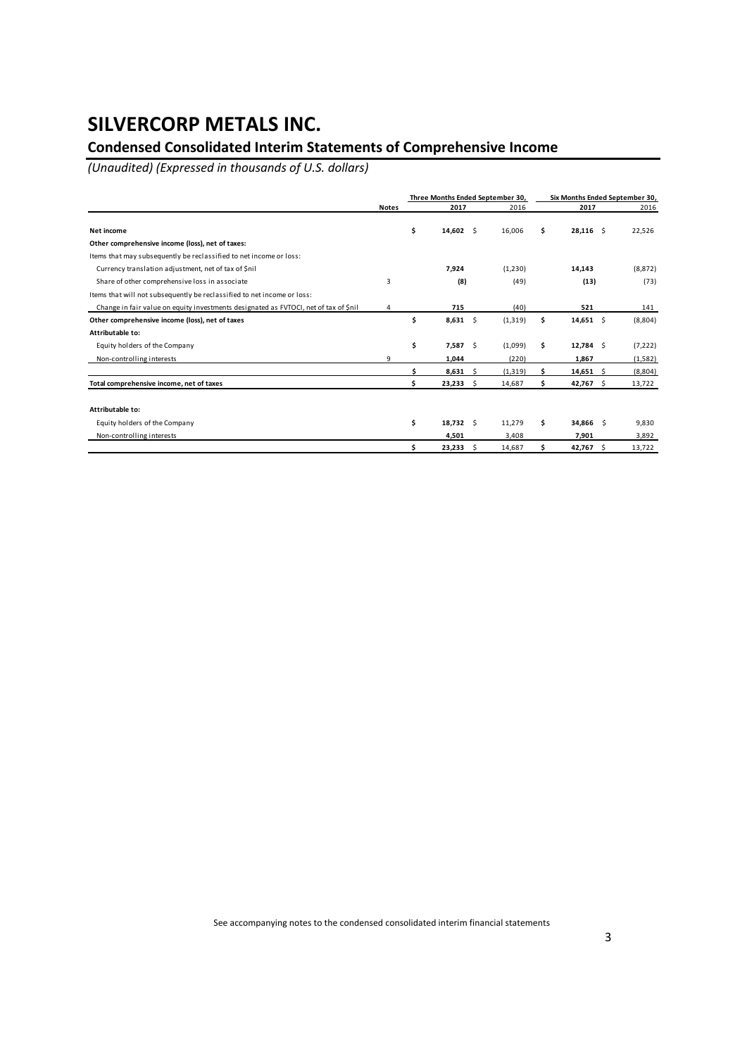## **Condensed Consolidated Interim Statements of Comprehensive Income**

*(Unaudited) (Expressed in thousands of U.S. dollars)*

|                                                                                      |              |      | Three Months Ended September 30, |     |          |    | Six Months Ended September 30, |      |          |
|--------------------------------------------------------------------------------------|--------------|------|----------------------------------|-----|----------|----|--------------------------------|------|----------|
|                                                                                      | <b>Notes</b> | 2017 |                                  |     | 2016     |    | 2017                           | 2016 |          |
| Net income                                                                           |              | Ś.   | $14,602 \quad \frac{1}{2}$       |     | 16.006   | Ś. | $28,116$ \$                    |      | 22,526   |
| Other comprehensive income (loss), net of taxes:                                     |              |      |                                  |     |          |    |                                |      |          |
| Items that may subsequently be reclassified to net income or loss:                   |              |      |                                  |     |          |    |                                |      |          |
| Currency translation adjustment, net of tax of \$nil                                 |              |      | 7,924                            |     | (1, 230) |    | 14,143                         |      | (8, 872) |
| Share of other comprehensive loss in associate                                       | 3            |      | (8)                              |     | (49)     |    | (13)                           |      | (73)     |
| Items that will not subsequently be reclassified to net income or loss:              |              |      |                                  |     |          |    |                                |      |          |
| Change in fair value on equity investments designated as FVTOCI, net of tax of \$nil | 4            |      | 715                              |     | (40)     |    | 521                            |      | 141      |
| Other comprehensive income (loss), net of taxes                                      |              | \$   | 8,631                            | -\$ | (1, 319) | \$ | $14,651$ \$                    |      | (8,804)  |
| Attributable to:                                                                     |              |      |                                  |     |          |    |                                |      |          |
| Equity holders of the Company                                                        |              | \$   | 7,587 \$                         |     | (1,099)  | \$ | $12,784$ \$                    |      | (7, 222) |
| Non-controlling interests                                                            | 9            |      | 1,044                            |     | (220)    |    | 1,867                          |      | (1,582)  |
|                                                                                      |              |      | 8,631                            | -S  | (1, 319) |    | $14,651$ \$                    |      | (8,804)  |
| Total comprehensive income, net of taxes                                             |              |      | 23,233                           | Ŝ.  | 14,687   |    | 42,767                         | - Ś  | 13,722   |
| Attributable to:                                                                     |              |      |                                  |     |          |    |                                |      |          |
| Equity holders of the Company                                                        |              | \$   | $18,732 \quad \text{S}$          |     | 11,279   | Ś  | 34,866 \$                      |      | 9,830    |
| Non-controlling interests                                                            |              |      | 4,501                            |     | 3,408    |    | 7,901                          |      | 3,892    |
|                                                                                      |              |      | 23,233                           | -Ś  | 14,687   |    | 42,767 \$                      |      | 13,722   |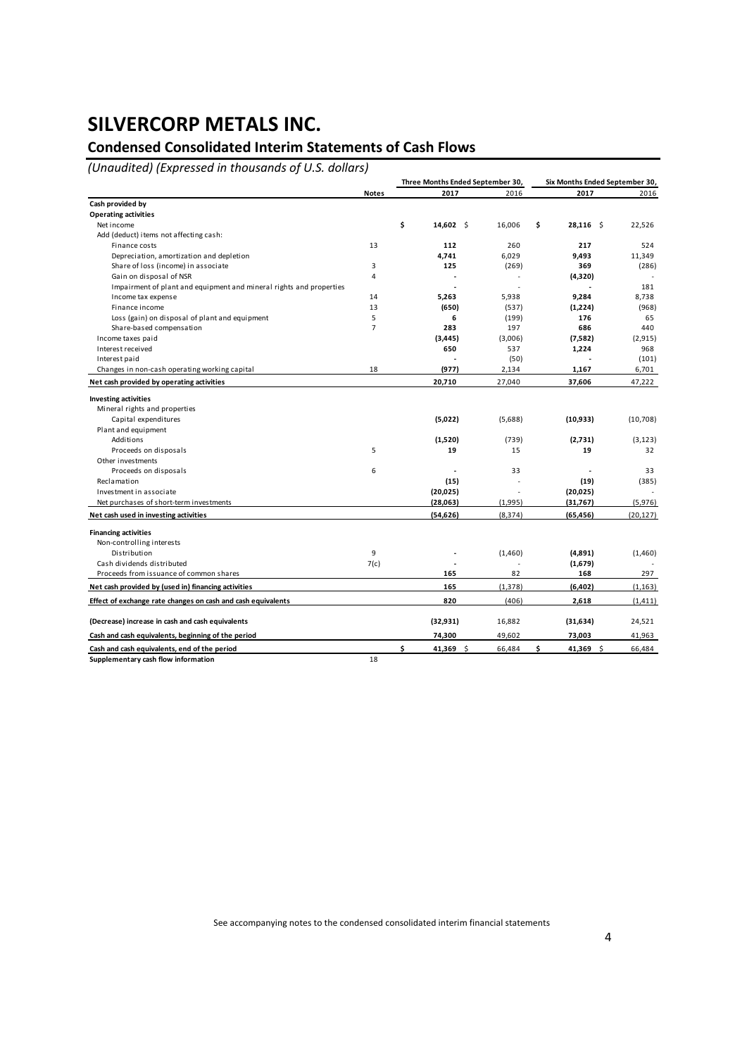## **Condensed Consolidated Interim Statements of Cash Flows**

*(Unaudited) (Expressed in thousands of U.S. dollars)*

|                                                                     |                | Three Months Ended September 30, |          | Six Months Ended September 30, |           |  |
|---------------------------------------------------------------------|----------------|----------------------------------|----------|--------------------------------|-----------|--|
|                                                                     | <b>Notes</b>   | 2017                             | 2016     | 2017                           | 2016      |  |
| Cash provided by                                                    |                |                                  |          |                                |           |  |
| <b>Operating activities</b>                                         |                |                                  |          |                                |           |  |
| Net income                                                          |                | \$<br>14,602 \$                  | 16,006   | \$<br>$28,116$ \$              | 22,526    |  |
| Add (deduct) items not affecting cash:                              |                |                                  |          |                                |           |  |
| Finance costs                                                       | 13             | 112                              | 260      | 217                            | 524       |  |
| Depreciation, amortization and depletion                            |                | 4,741                            | 6,029    | 9,493                          | 11,349    |  |
| Share of loss (income) in associate                                 | 3              | 125                              | (269)    | 369                            | (286)     |  |
| Gain on disposal of NSR                                             | 4              | ÷.                               |          | (4,320)                        |           |  |
| Impairment of plant and equipment and mineral rights and properties |                |                                  |          |                                | 181       |  |
| Income tax expense                                                  | 14             | 5,263                            | 5,938    | 9,284                          | 8.738     |  |
| Finance income                                                      | 13             | (650)                            | (537)    | (1,224)                        | (968)     |  |
| Loss (gain) on disposal of plant and equipment                      | 5              | 6                                | (199)    | 176                            | 65        |  |
| Share-based compensation                                            | $\overline{7}$ | 283                              | 197      | 686                            | 440       |  |
| Income taxes paid                                                   |                | (3, 445)                         | (3,006)  | (7,582)                        | (2, 915)  |  |
| Interest received                                                   |                | 650                              | 537      | 1,224                          | 968       |  |
| Interest paid                                                       |                |                                  | (50)     |                                | (101)     |  |
| Changes in non-cash operating working capital                       | 18             | (977)                            | 2,134    | 1,167                          | 6,701     |  |
| Net cash provided by operating activities                           |                | 20,710                           | 27,040   | 37,606                         | 47,222    |  |
| <b>Investing activities</b>                                         |                |                                  |          |                                |           |  |
| Mineral rights and properties                                       |                |                                  |          |                                |           |  |
| Capital expenditures                                                |                | (5,022)                          | (5,688)  | (10, 933)                      | (10,708)  |  |
| Plant and equipment                                                 |                |                                  |          |                                |           |  |
| Additions                                                           |                | (1,520)                          | (739)    | (2,731)                        | (3, 123)  |  |
| Proceeds on disposals                                               | 5              | 19                               | 15       | 19                             | 32        |  |
| Other investments                                                   |                |                                  |          |                                |           |  |
| Proceeds on disposals                                               | 6              |                                  | 33       |                                | 33        |  |
| Reclamation                                                         |                | (15)                             |          | (19)                           | (385)     |  |
| Investment in associate                                             |                | (20, 025)                        |          | (20, 025)                      |           |  |
| Net purchases of short-term investments                             |                | (28,063)                         | (1,995)  | (31,767)                       | (5,976)   |  |
| Net cash used in investing activities                               |                | (54, 626)                        | (8, 374) | (65, 456)                      | (20, 127) |  |
| <b>Financing activities</b>                                         |                |                                  |          |                                |           |  |
| Non-controlling interests                                           |                |                                  |          |                                |           |  |
| Distribution                                                        | 9              |                                  | (1,460)  | (4,891)                        | (1,460)   |  |
| Cash dividends distributed                                          | 7(c)           |                                  |          | (1,679)                        |           |  |
| Proceeds from issuance of common shares                             |                | 165                              | 82       | 168                            | 297       |  |
| Net cash provided by (used in) financing activities                 |                | 165                              | (1, 378) | (6,402)                        | (1, 163)  |  |
| Effect of exchange rate changes on cash and cash equivalents        |                | 820                              | (406)    | 2,618                          | (1, 411)  |  |
| (Decrease) increase in cash and cash equivalents                    |                | (32, 931)                        | 16,882   | (31, 634)                      | 24,521    |  |
| Cash and cash equivalents, beginning of the period                  |                | 74,300                           | 49,602   | 73,003                         | 41,963    |  |
|                                                                     |                |                                  |          |                                |           |  |
| Cash and cash equivalents, end of the period                        |                | \$<br>41,369 \$                  | 66,484   | \$<br>41,369 \$                | 66,484    |  |
| Supplementary cash flow information                                 | 18             |                                  |          |                                |           |  |

See accompanying notes to the condensed consolidated interim financial statements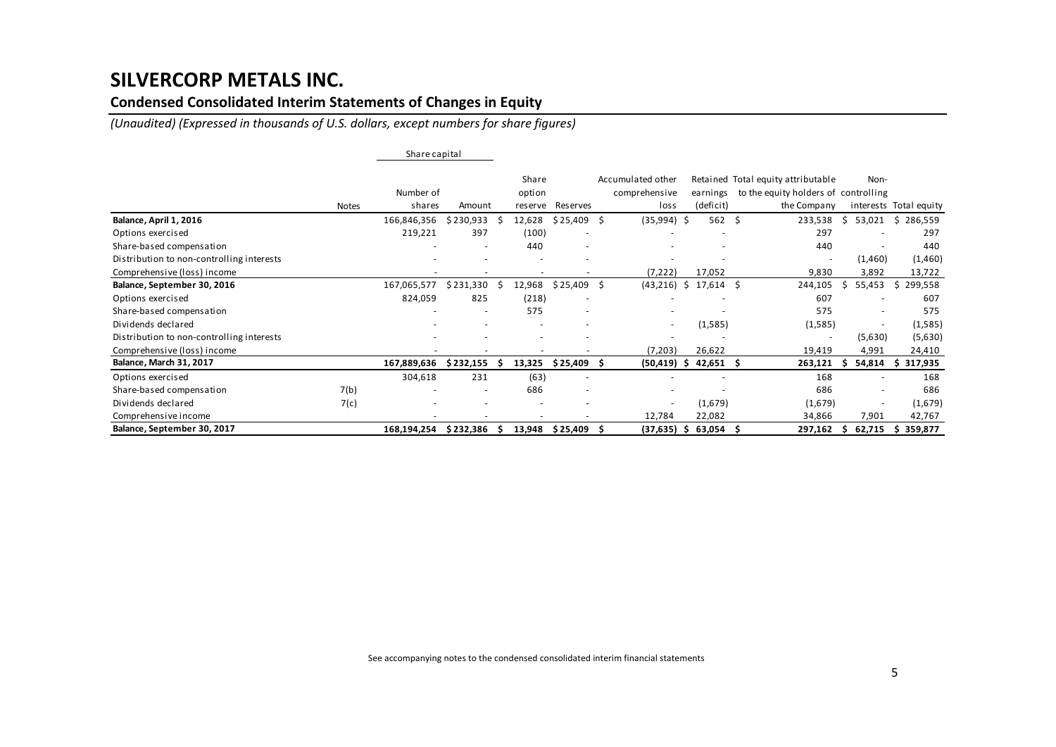### **Condensed Consolidated Interim Statements of Changes in Equity**

*(Unaudited) (Expressed in thousands of U.S. dollars, except numbers for share figures)*

|                                           |              | Share capital |           |   |                 |                          |     |                                    |   |                          |                                                                            |                          |                        |
|-------------------------------------------|--------------|---------------|-----------|---|-----------------|--------------------------|-----|------------------------------------|---|--------------------------|----------------------------------------------------------------------------|--------------------------|------------------------|
|                                           |              | Number of     |           |   | Share<br>option |                          |     | Accumulated other<br>comprehensive |   | earnings                 | Retained Total equity attributable<br>to the equity holders of controlling | Non-                     |                        |
|                                           | <b>Notes</b> | shares        | Amount    |   | reserve         | Reserves                 |     | loss                               |   | (deficit)                | the Company                                                                |                          | interests Total equity |
| Balance, April 1, 2016                    |              | 166,846,356   | \$230,933 |   | 12,628          | \$25,409                 | \$. | (35,994) \$                        |   | 562                      | Ŝ.<br>233,538                                                              | 53,021<br>S              | \$<br>286,559          |
| Options exercised                         |              | 219,221       | 397       |   | (100)           |                          |     |                                    |   |                          | 297                                                                        |                          | 297                    |
| Share-based compensation                  |              |               |           |   | 440             |                          |     |                                    |   |                          | 440                                                                        |                          | 440                    |
| Distribution to non-controlling interests |              |               |           |   |                 |                          |     |                                    |   |                          |                                                                            | (1,460)                  | (1,460)                |
| Comprehensive (loss) income               |              |               |           |   |                 |                          |     | (7, 222)                           |   | 17,052                   | 9,830                                                                      | 3,892                    | 13,722                 |
| Balance, September 30, 2016               |              | 167,065,577   | \$231,330 |   | 12,968          | $$25,409$ \$             |     | (43, 216)                          |   | $$17,614$ \$             | 244,105                                                                    | 55,453                   | 299,558<br>S           |
| Options exercised                         |              | 824,059       | 825       |   | (218)           | $\overline{\phantom{a}}$ |     |                                    |   |                          | 607                                                                        |                          | 607                    |
| Share-based compensation                  |              |               |           |   | 575             | $\overline{\phantom{a}}$ |     | $\overline{\phantom{a}}$           |   |                          | 575                                                                        | $\overline{\phantom{a}}$ | 575                    |
| Dividends declared                        |              |               |           |   |                 |                          |     | $\sim$                             |   | (1,585)                  | (1,585)                                                                    | ٠                        | (1,585)                |
| Distribution to non-controlling interests |              |               |           |   |                 |                          |     |                                    |   |                          | $\overline{a}$                                                             | (5,630)                  | (5,630)                |
| Comprehensive (loss) income               |              |               |           |   |                 |                          |     | (7,203)                            |   | 26,622                   | 19,419                                                                     | 4,991                    | 24,410                 |
| Balance, March 31, 2017                   |              | 167,889,636   | \$232,155 |   | 13,325          | \$25,409                 | Ŝ   | (50,419)                           | Ŝ | 42,651                   | 263,121<br>-Ś                                                              | 54,814                   | 317,935<br>-S          |
| Options exercised                         |              | 304,618       | 231       |   | (63)            | $\overline{\phantom{a}}$ |     | $\overline{\phantom{a}}$           |   | $\overline{\phantom{a}}$ | 168                                                                        |                          | 168                    |
| Share-based compensation                  | 7(b)         |               |           |   | 686             |                          |     |                                    |   |                          | 686                                                                        |                          | 686                    |
| Dividends declared                        | 7(c)         |               |           |   |                 |                          |     | $\overline{\phantom{a}}$           |   | (1,679)                  | (1,679)                                                                    |                          | (1,679)                |
| Comprehensive income                      |              |               |           |   |                 |                          |     | 12,784                             |   | 22,082                   | 34,866                                                                     | 7,901                    | 42,767                 |
| Balance, September 30, 2017               |              | 168,194,254   | \$232,386 | S |                 | 13,948 \$25,409          |     | $(37, 635)$ \$                     |   | 63,054                   | 297,162<br>-S                                                              | 62,715<br>S.             | 359,877<br>S           |

See accompanying notes to the condensed consolidated interim financial statements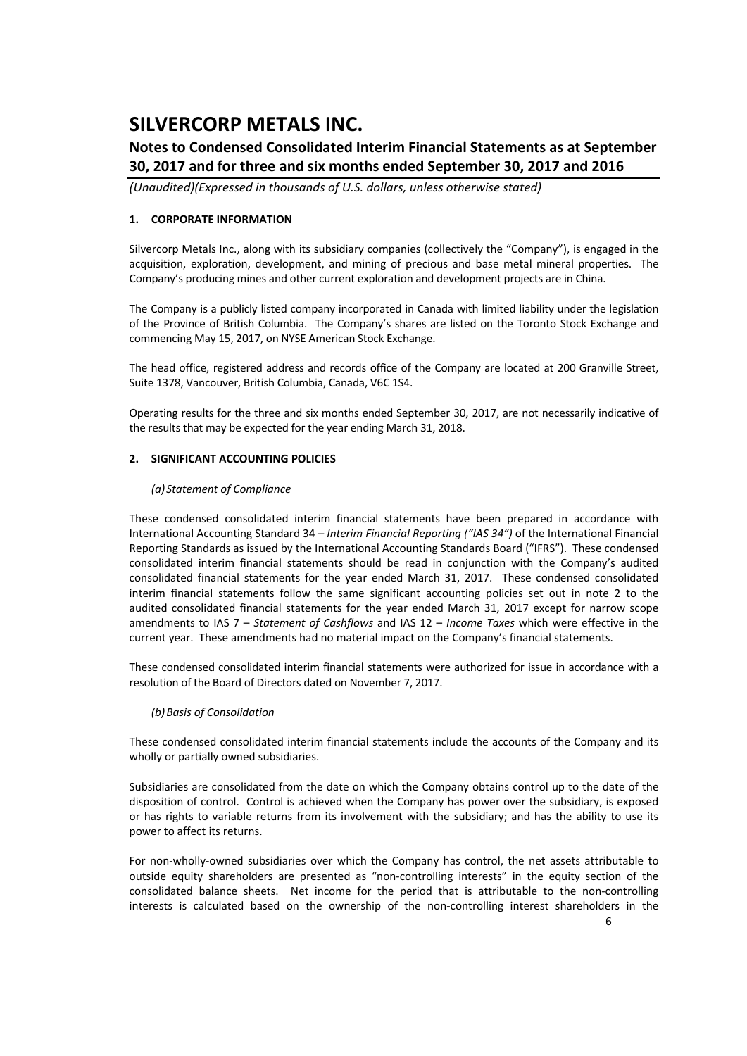### **Notes to Condensed Consolidated Interim Financial Statements as at September 30, 2017 and for three and six months ended September 30, 2017 and 2016**

*(Unaudited)(Expressed in thousands of U.S. dollars, unless otherwise stated)*

### **1. CORPORATE INFORMATION**

Silvercorp Metals Inc., along with its subsidiary companies (collectively the "Company"), is engaged in the acquisition, exploration, development, and mining of precious and base metal mineral properties. The Company's producing mines and other current exploration and development projects are in China.

The Company is a publicly listed company incorporated in Canada with limited liability under the legislation of the Province of British Columbia. The Company's shares are listed on the Toronto Stock Exchange and commencing May 15, 2017, on NYSE American Stock Exchange.

The head office, registered address and records office of the Company are located at 200 Granville Street, Suite 1378, Vancouver, British Columbia, Canada, V6C 1S4.

Operating results for the three and six months ended September 30, 2017, are not necessarily indicative of the results that may be expected for the year ending March 31, 2018.

### **2. SIGNIFICANT ACCOUNTING POLICIES**

### *(a) Statement of Compliance*

These condensed consolidated interim financial statements have been prepared in accordance with International Accounting Standard 34 – *Interim Financial Reporting ("IAS 34")* of the International Financial Reporting Standards as issued by the International Accounting Standards Board ("IFRS"). These condensed consolidated interim financial statements should be read in conjunction with the Company's audited consolidated financial statements for the year ended March 31, 2017. These condensed consolidated interim financial statements follow the same significant accounting policies set out in note 2 to the audited consolidated financial statements for the year ended March 31, 2017 except for narrow scope amendments to IAS 7 – *Statement of Cashflows* and IAS 12 – *Income Taxes* which were effective in the current year. These amendments had no material impact on the Company's financial statements.

These condensed consolidated interim financial statements were authorized for issue in accordance with a resolution of the Board of Directors dated on November 7, 2017.

### *(b)Basis of Consolidation*

These condensed consolidated interim financial statements include the accounts of the Company and its wholly or partially owned subsidiaries.

Subsidiaries are consolidated from the date on which the Company obtains control up to the date of the disposition of control. Control is achieved when the Company has power over the subsidiary, is exposed or has rights to variable returns from its involvement with the subsidiary; and has the ability to use its power to affect its returns.

For non-wholly-owned subsidiaries over which the Company has control, the net assets attributable to outside equity shareholders are presented as "non‐controlling interests" in the equity section of the consolidated balance sheets. Net income for the period that is attributable to the non-controlling interests is calculated based on the ownership of the non‐controlling interest shareholders in the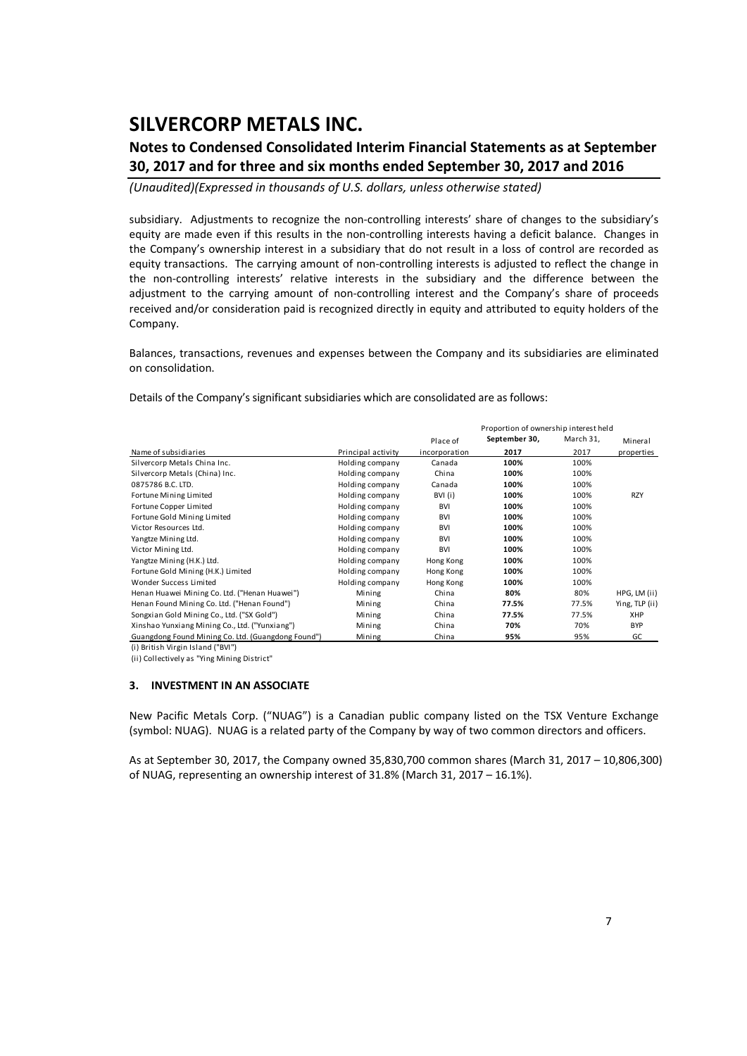## **Notes to Condensed Consolidated Interim Financial Statements as at September 30, 2017 and for three and six months ended September 30, 2017 and 2016**

*(Unaudited)(Expressed in thousands of U.S. dollars, unless otherwise stated)*

subsidiary. Adjustments to recognize the non-controlling interests' share of changes to the subsidiary's equity are made even if this results in the non-controlling interests having a deficit balance. Changes in the Company's ownership interest in a subsidiary that do not result in a loss of control are recorded as equity transactions. The carrying amount of non-controlling interests is adjusted to reflect the change in the non-controlling interests' relative interests in the subsidiary and the difference between the adjustment to the carrying amount of non-controlling interest and the Company's share of proceeds received and/or consideration paid is recognized directly in equity and attributed to equity holders of the Company.

Balances, transactions, revenues and expenses between the Company and its subsidiaries are eliminated on consolidation.

Details of the Company's significant subsidiaries which are consolidated are as follows:

|                                                    |                    |               | Proportion of ownership interest held |           |                |
|----------------------------------------------------|--------------------|---------------|---------------------------------------|-----------|----------------|
|                                                    |                    | Place of      | September 30,                         | March 31, | Mineral        |
| Name of subsidiaries                               | Principal activity | incorporation | 2017                                  | 2017      | properties     |
| Silvercorp Metals China Inc.                       | Holding company    | Canada        | 100%                                  | 100%      |                |
| Silvercorp Metals (China) Inc.                     | Holding company    | China         | 100%                                  | 100%      |                |
| 0875786 B.C. LTD.                                  | Holding company    | Canada        | 100%                                  | 100%      |                |
| Fortune Mining Limited                             | Holding company    | BVI (i)       | 100%                                  | 100%      | <b>RZY</b>     |
| Fortune Copper Limited                             | Holding company    | <b>BVI</b>    | 100%                                  | 100%      |                |
| Fortune Gold Mining Limited                        | Holding company    | <b>BVI</b>    | 100%                                  | 100%      |                |
| Victor Resources Ltd.                              | Holding company    | <b>BVI</b>    | 100%                                  | 100%      |                |
| Yangtze Mining Ltd.                                | Holding company    | <b>BVI</b>    | 100%                                  | 100%      |                |
| Victor Mining Ltd.                                 | Holding company    | <b>BVI</b>    | 100%                                  | 100%      |                |
| Yangtze Mining (H.K.) Ltd.                         | Holding company    | Hong Kong     | 100%                                  | 100%      |                |
| Fortune Gold Mining (H.K.) Limited                 | Holding company    | Hong Kong     | 100%                                  | 100%      |                |
| Wonder Success Limited                             | Holding company    | Hong Kong     | 100%                                  | 100%      |                |
| Henan Huawei Mining Co. Ltd. ("Henan Huawei")      | Mining             | China         | 80%                                   | 80%       | HPG, LM (ii)   |
| Henan Found Mining Co. Ltd. ("Henan Found")        | Mining             | China         | 77.5%                                 | 77.5%     | Ying, TLP (ii) |
| Songxian Gold Mining Co., Ltd. ("SX Gold")         | Mining             | China         | 77.5%                                 | 77.5%     | XHP            |
| Xinshao Yunxiang Mining Co., Ltd. ("Yunxiang")     | Mining             | China         | 70%                                   | 70%       | <b>BYP</b>     |
| Guangdong Found Mining Co. Ltd. (Guangdong Found") | Mining             | China         | 95%                                   | 95%       | GC             |

(i) British Virgin Island ("BVI")

(ii) Collectively as "Ying Mining District"

#### **3. INVESTMENT IN AN ASSOCIATE**

New Pacific Metals Corp. ("NUAG") is a Canadian public company listed on the TSX Venture Exchange (symbol: NUAG). NUAG is a related party of the Company by way of two common directors and officers.

As at September 30, 2017, the Company owned 35,830,700 common shares (March 31, 2017 – 10,806,300) of NUAG, representing an ownership interest of 31.8% (March 31, 2017 – 16.1%).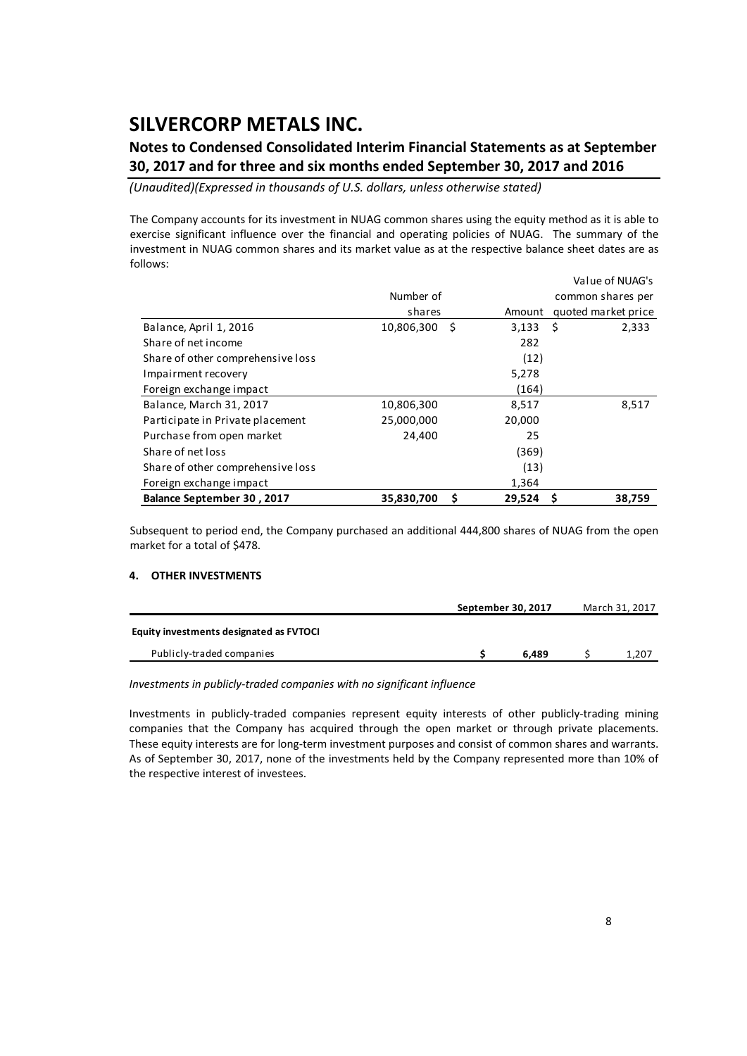## **Notes to Condensed Consolidated Interim Financial Statements as at September 30, 2017 and for three and six months ended September 30, 2017 and 2016**

*(Unaudited)(Expressed in thousands of U.S. dollars, unless otherwise stated)*

The Company accounts for its investment in NUAG common shares using the equity method as it is able to exercise significant influence over the financial and operating policies of NUAG. The summary of the investment in NUAG common shares and its market value as at the respective balance sheet dates are as follows:

|                                   |                 |        | Value of NUAG's     |
|-----------------------------------|-----------------|--------|---------------------|
|                                   | Number of       |        | common shares per   |
|                                   | shares          | Amount | quoted market price |
| Balance, April 1, 2016            | 10,806,300<br>S | 3,133  | -\$<br>2,333        |
| Share of net income               |                 | 282    |                     |
| Share of other comprehensive loss |                 | (12)   |                     |
| Impairment recovery               |                 | 5,278  |                     |
| Foreign exchange impact           |                 | (164)  |                     |
| Balance, March 31, 2017           | 10,806,300      | 8,517  | 8,517               |
| Participate in Private placement  | 25,000,000      | 20,000 |                     |
| Purchase from open market         | 24,400          | 25     |                     |
| Share of net loss                 |                 | (369)  |                     |
| Share of other comprehensive loss |                 | (13)   |                     |
| Foreign exchange impact           |                 | 1,364  |                     |
| Balance September 30, 2017        | 35,830,700<br>S | 29,524 | Ŝ<br>38,759         |

Subsequent to period end, the Company purchased an additional 444,800 shares of NUAG from the open market for a total of \$478.

#### **4. OTHER INVESTMENTS**

|                                         | September 30, 2017 | March 31, 2017 |  |       |  |
|-----------------------------------------|--------------------|----------------|--|-------|--|
| Equity investments designated as FVTOCI |                    |                |  |       |  |
| Publicly-traded companies               |                    | 6.489          |  | 1,207 |  |

#### *Investments in publicly‐traded companies with no significant influence*

Investments in publicly‐traded companies represent equity interests of other publicly‐trading mining companies that the Company has acquired through the open market or through private placements. These equity interests are for long-term investment purposes and consist of common shares and warrants. As of September 30, 2017, none of the investments held by the Company represented more than 10% of the respective interest of investees.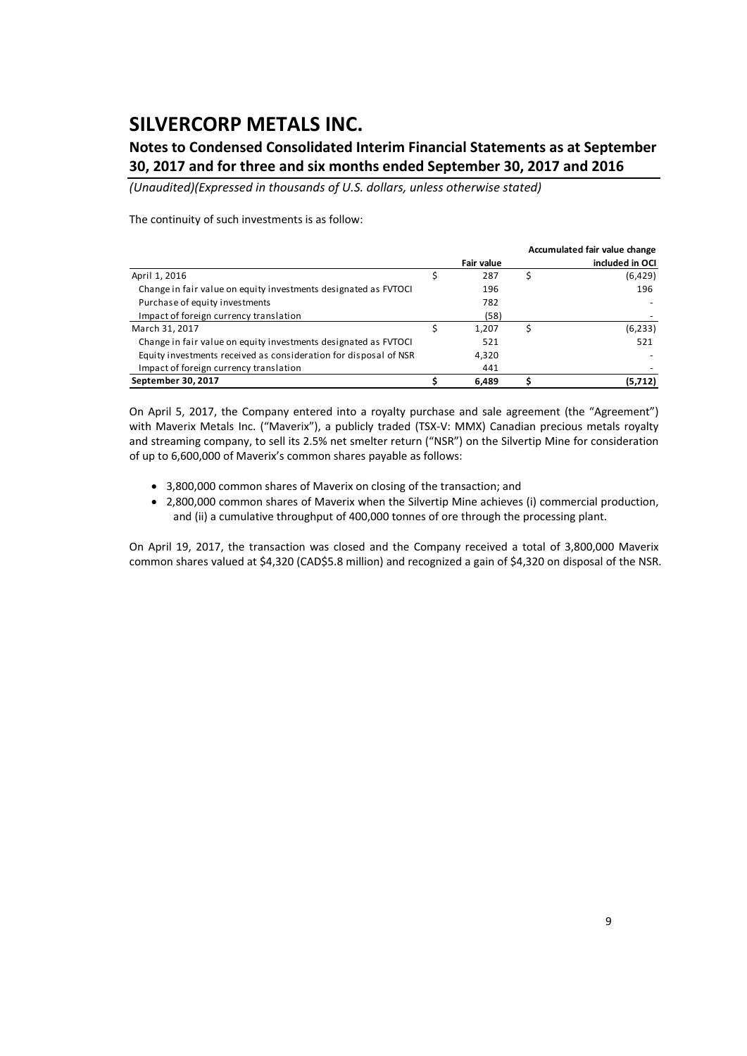### **Notes to Condensed Consolidated Interim Financial Statements as at September 30, 2017 and for three and six months ended September 30, 2017 and 2016**

*(Unaudited)(Expressed in thousands of U.S. dollars, unless otherwise stated)*

The continuity of such investments is as follow:

|                                                                  |            | Accumulated fair value change |
|------------------------------------------------------------------|------------|-------------------------------|
|                                                                  | Fair value | included in OCI               |
| April 1, 2016                                                    | 287        | (6,429)                       |
| Change in fair value on equity investments designated as FVTOCI  | 196        | 196                           |
| Purchase of equity investments                                   | 782        |                               |
| Impact of foreign currency translation                           | (58)       |                               |
| March 31, 2017                                                   | 1.207      | (6, 233)                      |
| Change in fair value on equity investments designated as FVTOCI  | 521        | 521                           |
| Equity investments received as consideration for disposal of NSR | 4,320      |                               |
| Impact of foreign currency translation                           | 441        |                               |
| September 30, 2017                                               | 6,489      | (5,712)                       |

On April 5, 2017, the Company entered into a royalty purchase and sale agreement (the "Agreement") with Maverix Metals Inc. ("Maverix"), a publicly traded (TSX-V: MMX) Canadian precious metals royalty and streaming company, to sell its 2.5% net smelter return ("NSR") on the Silvertip Mine for consideration of up to 6,600,000 of Maverix's common shares payable as follows:

- 3,800,000 common shares of Maverix on closing of the transaction; and
- 2,800,000 common shares of Maverix when the Silvertip Mine achieves (i) commercial production, and (ii) a cumulative throughput of 400,000 tonnes of ore through the processing plant.

On April 19, 2017, the transaction was closed and the Company received a total of 3,800,000 Maverix common shares valued at \$4,320 (CAD\$5.8 million) and recognized a gain of \$4,320 on disposal of the NSR.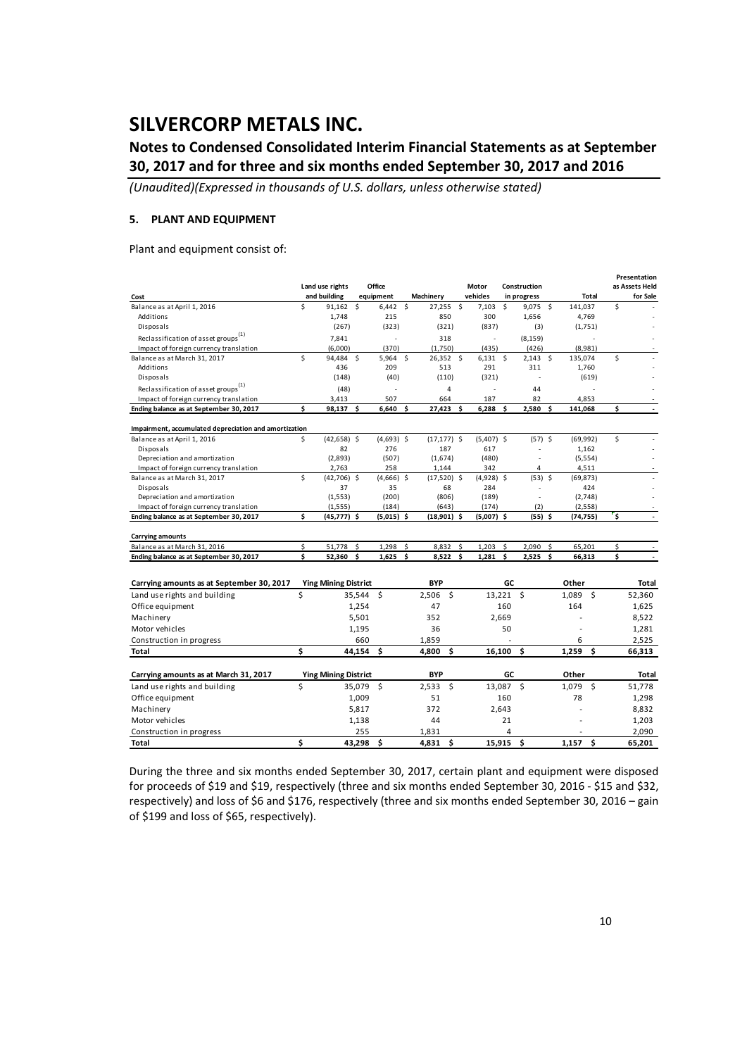## **Notes to Condensed Consolidated Interim Financial Statements as at September 30, 2017 and for three and six months ended September 30, 2017 and 2016**

*(Unaudited)(Expressed in thousands of U.S. dollars, unless otherwise stated)*

### **5. PLANT AND EQUIPMENT**

Plant and equipment consist of:

| Land use rights<br>Office<br>as Assets Held<br>Motor<br>Construction<br>and building<br>equipment<br>vehicles<br>for Sale<br>Machinery<br>in progress<br><b>Total</b><br>Cost<br>Ś<br>\$<br>Ś<br>Balance as at April 1, 2016<br>Ŝ.<br>27.255<br>Ŝ.<br>7.103<br>Ŝ.<br>$9,075$ \$<br>141.037<br>91.162<br>6,442<br>300<br>Additions<br>1,748<br>215<br>850<br>1,656<br>4,769<br>Disposals<br>(267)<br>(323)<br>(321)<br>(837)<br>(3)<br>(1,751)<br>Reclassification of asset groups<br>(8, 159)<br>7.841<br>318<br>×,<br>Ĭ.<br>÷,<br>Impact of foreign currency translation<br>(6,000)<br>(370)<br>(1,750)<br>(426)<br>(8,981)<br>(435)<br>Ś<br>Ś<br>Ś<br>Ŝ.<br>94,484<br>\$<br>5,964<br>26,352 \$<br>6,131<br>$2,143$ \$<br>135,074<br>Balance as at March 31, 2017<br>Additions<br>436<br>209<br>513<br>291<br>311<br>1,760 |
|-----------------------------------------------------------------------------------------------------------------------------------------------------------------------------------------------------------------------------------------------------------------------------------------------------------------------------------------------------------------------------------------------------------------------------------------------------------------------------------------------------------------------------------------------------------------------------------------------------------------------------------------------------------------------------------------------------------------------------------------------------------------------------------------------------------------------------|
|                                                                                                                                                                                                                                                                                                                                                                                                                                                                                                                                                                                                                                                                                                                                                                                                                             |
|                                                                                                                                                                                                                                                                                                                                                                                                                                                                                                                                                                                                                                                                                                                                                                                                                             |
|                                                                                                                                                                                                                                                                                                                                                                                                                                                                                                                                                                                                                                                                                                                                                                                                                             |
|                                                                                                                                                                                                                                                                                                                                                                                                                                                                                                                                                                                                                                                                                                                                                                                                                             |
|                                                                                                                                                                                                                                                                                                                                                                                                                                                                                                                                                                                                                                                                                                                                                                                                                             |
|                                                                                                                                                                                                                                                                                                                                                                                                                                                                                                                                                                                                                                                                                                                                                                                                                             |
|                                                                                                                                                                                                                                                                                                                                                                                                                                                                                                                                                                                                                                                                                                                                                                                                                             |
|                                                                                                                                                                                                                                                                                                                                                                                                                                                                                                                                                                                                                                                                                                                                                                                                                             |
|                                                                                                                                                                                                                                                                                                                                                                                                                                                                                                                                                                                                                                                                                                                                                                                                                             |
| (40)<br>(110)<br>(321)<br>Disposals<br>(148)<br>(619)                                                                                                                                                                                                                                                                                                                                                                                                                                                                                                                                                                                                                                                                                                                                                                       |
| Reclassification of asset groups <sup>(1)</sup><br>(48)<br>$\overline{4}$<br>44<br>ä,<br>J.<br>÷,                                                                                                                                                                                                                                                                                                                                                                                                                                                                                                                                                                                                                                                                                                                           |
| Impact of foreign currency translation<br>507<br>187<br>82<br>4,853<br>3,413<br>664                                                                                                                                                                                                                                                                                                                                                                                                                                                                                                                                                                                                                                                                                                                                         |
| \$<br>\$<br>98,137<br>\$.<br>6,640<br>\$.<br>27,423<br>6.288<br>Ś<br>2.580<br>Ending balance as at September 30, 2017<br>Ś<br>Ś.<br>141,068                                                                                                                                                                                                                                                                                                                                                                                                                                                                                                                                                                                                                                                                                 |
| Impairment, accumulated depreciation and amortization                                                                                                                                                                                                                                                                                                                                                                                                                                                                                                                                                                                                                                                                                                                                                                       |
| \$<br>\$<br>$(42, 658)$ \$<br>$(4,693)$ \$<br>$(57)$ \$<br>Balance as at April 1, 2016<br>$(17, 177)$ \$<br>$(5,407)$ \$<br>(69, 992)                                                                                                                                                                                                                                                                                                                                                                                                                                                                                                                                                                                                                                                                                       |
| 82<br>276<br>187<br>617<br>Disposals<br>1,162                                                                                                                                                                                                                                                                                                                                                                                                                                                                                                                                                                                                                                                                                                                                                                               |
| Depreciation and amortization<br>(2,893)<br>(507)<br>(1,674)<br>(480)<br>(5, 554)                                                                                                                                                                                                                                                                                                                                                                                                                                                                                                                                                                                                                                                                                                                                           |
| Impact of foreign currency translation<br>2,763<br>258<br>1,144<br>342<br>4,511<br>4                                                                                                                                                                                                                                                                                                                                                                                                                                                                                                                                                                                                                                                                                                                                        |
| \$<br>$(53)$ \$<br>Balance as at March 31, 2017<br>$(42,706)$ \$<br>$(4,666)$ \$<br>$(17,520)$ \$<br>(4,928) \$<br>(69, 873)                                                                                                                                                                                                                                                                                                                                                                                                                                                                                                                                                                                                                                                                                                |
| 37<br>35<br>68<br>284<br>424<br>Disposals                                                                                                                                                                                                                                                                                                                                                                                                                                                                                                                                                                                                                                                                                                                                                                                   |
| Depreciation and amortization<br>(1, 553)<br>(200)<br>(806)<br>(189)<br>(2,748)                                                                                                                                                                                                                                                                                                                                                                                                                                                                                                                                                                                                                                                                                                                                             |
| (184)<br>(174)<br>(2)<br>Impact of foreign currency translation<br>(1, 555)<br>(643)<br>(2, 558)                                                                                                                                                                                                                                                                                                                                                                                                                                                                                                                                                                                                                                                                                                                            |
| \$<br>$\ddot{\mathsf{s}}$<br>(45,777) \$<br>$(5,015)$ \$<br>$(18,901)$ \$<br>$(5,007)$ \$<br>(55) \$<br>Ending balance as at September 30, 2017<br>(74,755)                                                                                                                                                                                                                                                                                                                                                                                                                                                                                                                                                                                                                                                                 |
|                                                                                                                                                                                                                                                                                                                                                                                                                                                                                                                                                                                                                                                                                                                                                                                                                             |
| <b>Carrying amounts</b><br>Balance as at March 31, 2016<br>\$<br>\$<br>1,298<br>Ś<br>Ś<br>2,090<br>\$<br>Ś<br>Ś                                                                                                                                                                                                                                                                                                                                                                                                                                                                                                                                                                                                                                                                                                             |
| 51,778<br>8,832<br>1,203<br>65,201<br>\$<br>Ś<br>Ś<br>\$<br>Ś<br>\$<br>\$.<br>Ending balance as at September 30, 2017<br>52,360<br>1,625<br>8,522<br>1,281<br>2,525<br>66,313                                                                                                                                                                                                                                                                                                                                                                                                                                                                                                                                                                                                                                               |
|                                                                                                                                                                                                                                                                                                                                                                                                                                                                                                                                                                                                                                                                                                                                                                                                                             |
| GC<br><b>BYP</b>                                                                                                                                                                                                                                                                                                                                                                                                                                                                                                                                                                                                                                                                                                                                                                                                            |
| <b>Ying Mining District</b><br>Other<br>Carrying amounts as at September 30, 2017<br>Total                                                                                                                                                                                                                                                                                                                                                                                                                                                                                                                                                                                                                                                                                                                                  |
| Ś<br>Ŝ.<br>Ŝ.<br>$13.221$ \$<br>Ŝ.<br>Land use rights and building<br>35,544<br>2.506<br>1.089<br>52.360                                                                                                                                                                                                                                                                                                                                                                                                                                                                                                                                                                                                                                                                                                                    |
| Office equipment<br>1,254<br>47<br>160<br>164<br>1,625                                                                                                                                                                                                                                                                                                                                                                                                                                                                                                                                                                                                                                                                                                                                                                      |
| 352<br>Machinery<br>5,501<br>2,669<br>8,522                                                                                                                                                                                                                                                                                                                                                                                                                                                                                                                                                                                                                                                                                                                                                                                 |
| Motor vehicles<br>36<br>50<br>1,195<br>1,281                                                                                                                                                                                                                                                                                                                                                                                                                                                                                                                                                                                                                                                                                                                                                                                |
| 2,525<br>660<br>1,859<br>6<br>Construction in progress                                                                                                                                                                                                                                                                                                                                                                                                                                                                                                                                                                                                                                                                                                                                                                      |
| \$<br>\$<br>1,259<br>44,154 \$<br>4,800<br>\$<br>16,100<br>\$<br>Total<br>66,313                                                                                                                                                                                                                                                                                                                                                                                                                                                                                                                                                                                                                                                                                                                                            |
|                                                                                                                                                                                                                                                                                                                                                                                                                                                                                                                                                                                                                                                                                                                                                                                                                             |
| GC<br><b>BYP</b><br>Other<br>Carrying amounts as at March 31, 2017<br><b>Ying Mining District</b><br>Total                                                                                                                                                                                                                                                                                                                                                                                                                                                                                                                                                                                                                                                                                                                  |
| \$<br>$2,533$ \$<br>13,087 \$<br>1,079 \$<br>Land use rights and building<br>35,079 \$<br>51,778                                                                                                                                                                                                                                                                                                                                                                                                                                                                                                                                                                                                                                                                                                                            |
| 51<br>78<br>Office equipment<br>1,009<br>160<br>1,298                                                                                                                                                                                                                                                                                                                                                                                                                                                                                                                                                                                                                                                                                                                                                                       |
| 5,817<br>372<br>8,832<br>Machinery<br>2.643                                                                                                                                                                                                                                                                                                                                                                                                                                                                                                                                                                                                                                                                                                                                                                                 |
| Motor vehicles<br>44<br>1,203<br>1,138<br>21                                                                                                                                                                                                                                                                                                                                                                                                                                                                                                                                                                                                                                                                                                                                                                                |
| 255<br>1,831<br>4<br>2,090<br>Construction in progress                                                                                                                                                                                                                                                                                                                                                                                                                                                                                                                                                                                                                                                                                                                                                                      |
| Ś<br>Ś<br>\$<br>15.915<br>Ś<br>1.157<br>Ś<br>43,298<br>4,831<br>65,201<br>Total                                                                                                                                                                                                                                                                                                                                                                                                                                                                                                                                                                                                                                                                                                                                             |

During the three and six months ended September 30, 2017, certain plant and equipment were disposed for proceeds of \$19 and \$19, respectively (three and six months ended September 30, 2016 ‐ \$15 and \$32, respectively) and loss of \$6 and \$176, respectively (three and six months ended September 30, 2016 – gain of \$199 and loss of \$65, respectively).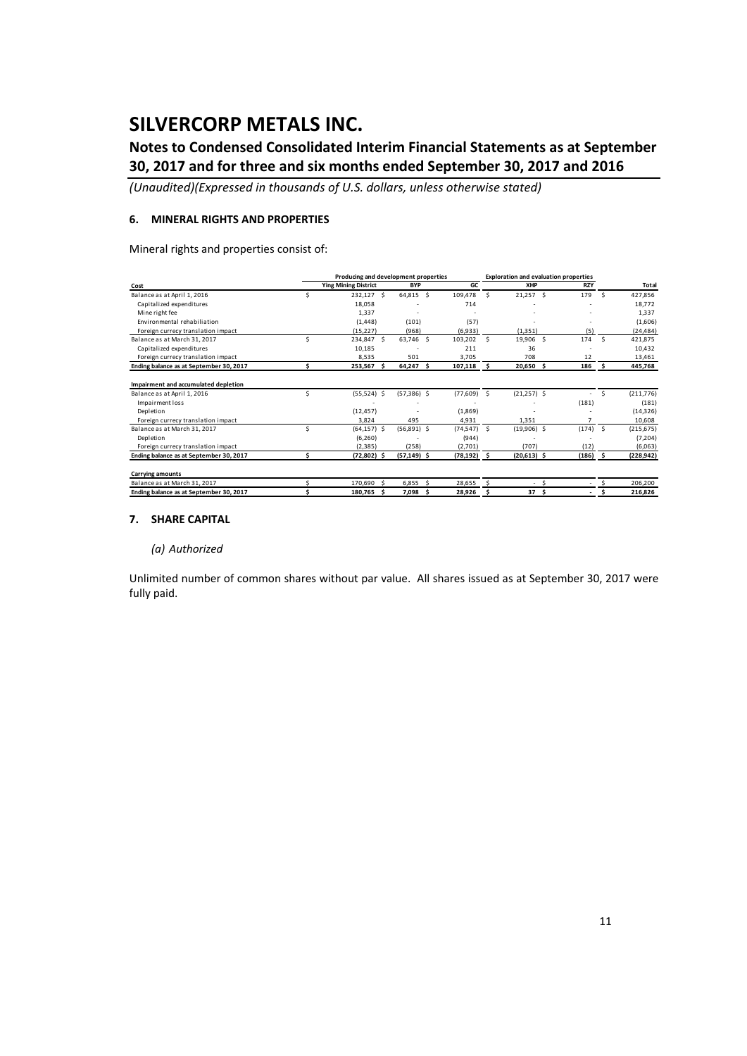## **Notes to Condensed Consolidated Interim Financial Statements as at September 30, 2017 and for three and six months ended September 30, 2017 and 2016**

*(Unaudited)(Expressed in thousands of U.S. dollars, unless otherwise stated)*

#### **6. MINERAL RIGHTS AND PROPERTIES**

Mineral rights and properties consist of:

|                                         |   | Producing and development properties |                |    | <b>Exploration and evaluation properties</b> |    |                 |   |            |          |            |
|-----------------------------------------|---|--------------------------------------|----------------|----|----------------------------------------------|----|-----------------|---|------------|----------|------------|
| Cost                                    |   | <b>Ying Mining District</b>          | <b>BYP</b>     |    | GC                                           |    | XHP             |   | <b>RZY</b> |          | Total      |
| Balance as at April 1, 2016             |   | 232,127 \$                           | 64,815 \$      |    | 109.478                                      | Ŝ. | $21,257$ \$     |   | 179        | Š.       | 427,856    |
| Capitalized expenditures                |   | 18.058                               |                |    | 714                                          |    |                 |   |            |          | 18.772     |
| Mine right fee                          |   | 1.337                                |                |    |                                              |    |                 |   |            |          | 1.337      |
| Environmental rehabiliation             |   | (1, 448)                             | (101)          |    | (57)                                         |    |                 |   |            |          | (1,606)    |
| Foreign currecy translation impact      |   | (15, 227)                            | (968)          |    | (6,933)                                      |    | (1, 351)        |   | (5)        |          | (24, 484)  |
| Balance as at March 31, 2017            | Ś | 234,847 \$                           | 63.746 S       |    | 103,202                                      | Š. | 19,906 \$       |   | 174        | <b>S</b> | 421,875    |
| Capitalized expenditures                |   | 10,185                               |                |    | 211                                          |    | 36              |   |            |          | 10,432     |
| Foreign currecy translation impact      |   | 8,535                                | 501            |    | 3,705                                        |    | 708             |   | 12         |          | 13,461     |
| Ending balance as at September 30, 2017 |   | 253,567 \$                           | 64,247 \$      |    | 107,118                                      | -S | 20,650 \$       |   | 186        | s        | 445,768    |
| Impairment and accumulated depletion    |   |                                      |                |    |                                              |    |                 |   |            |          |            |
| Balance as at April 1, 2016             | Ś | $(55,524)$ \$                        | $(57,386)$ \$  |    | (77, 609)                                    | -S | $(21,257)$ \$   |   |            | Ś        | (211, 776) |
| Impairment loss                         |   |                                      |                |    |                                              |    |                 |   | (181)      |          | (181)      |
| Depletion                               |   | (12, 457)                            |                |    | (1,869)                                      |    |                 |   |            |          | (14, 326)  |
| Foreign currecy translation impact      |   | 3.824                                | 495            |    | 4.931                                        |    | 1.351           |   |            |          | 10.608     |
| Balance as at March 31, 2017            | Ś | $(64, 157)$ \$                       | $(56,891)$ \$  |    | (74, 547)                                    | Ŝ  | $(19,906)$ \$   |   | (174)      | - S      | (215, 675) |
| Depletion                               |   | (6, 260)                             |                |    | (944)                                        |    |                 |   |            |          | (7, 204)   |
| Foreign currecy translation impact      |   | (2, 385)                             | (258)          |    | (2,701)                                      |    | (707)           |   | (12)       |          | (6,063)    |
| Ending balance as at September 30, 2017 |   | $(72,802)$ \$                        | $(57, 149)$ \$ |    | $(78, 192)$ \$                               |    | $(20,613)$ \$   |   | (186)      | s        | (228, 942) |
| <b>Carrying amounts</b>                 |   |                                      |                |    |                                              |    |                 |   |            |          |            |
| Balance as at March 31, 2017            |   | 170.690                              | 6.855          |    | 28.655                                       |    |                 | S |            |          | 206,200    |
| Ending balance as at September 30, 2017 |   | 180,765 \$                           | 7.098          | .s | 28,926                                       |    | 37 <sub>5</sub> |   |            |          | 216,826    |

#### **7. SHARE CAPITAL**

#### *(a) Authorized*

Unlimited number of common shares without par value. All shares issued as at September 30, 2017 were fully paid.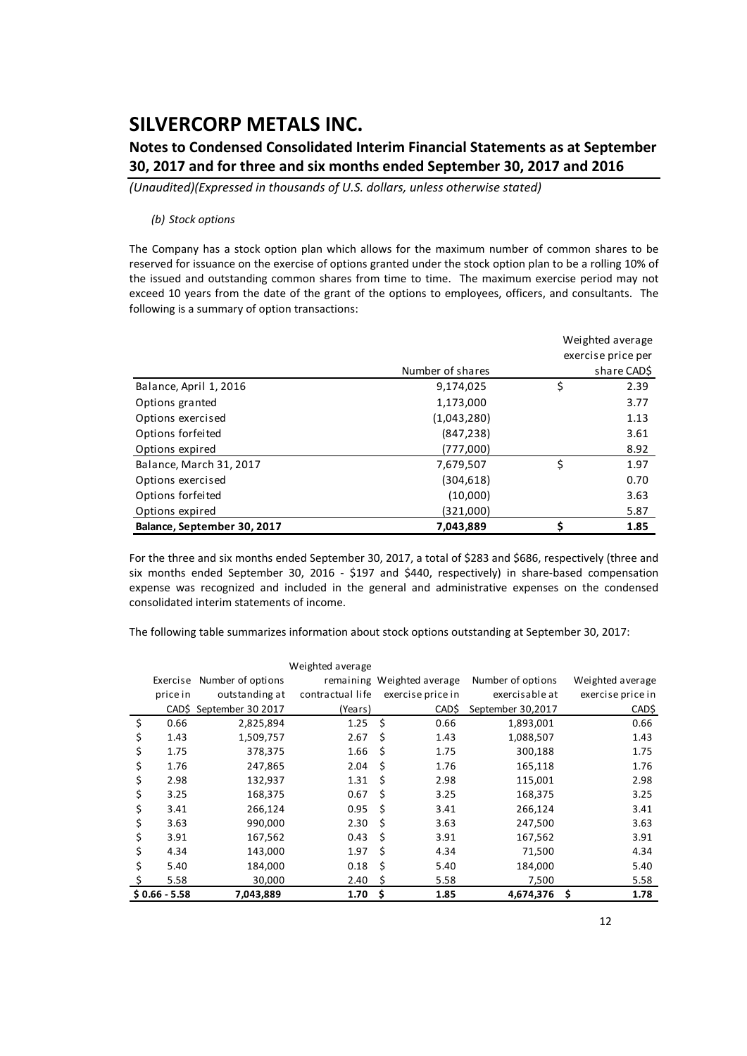## **Notes to Condensed Consolidated Interim Financial Statements as at September 30, 2017 and for three and six months ended September 30, 2017 and 2016**

*(Unaudited)(Expressed in thousands of U.S. dollars, unless otherwise stated)*

#### *(b) Stock options*

The Company has a stock option plan which allows for the maximum number of common shares to be reserved for issuance on the exercise of options granted under the stock option plan to be a rolling 10% of the issued and outstanding common shares from time to time. The maximum exercise period may not exceed 10 years from the date of the grant of the options to employees, officers, and consultants. The following is a summary of option transactions:

|                             | Weighted average |    |                    |  |  |  |
|-----------------------------|------------------|----|--------------------|--|--|--|
|                             |                  |    | exercise price per |  |  |  |
|                             | Number of shares |    | share CAD\$        |  |  |  |
| Balance, April 1, 2016      | 9,174,025        | \$ | 2.39               |  |  |  |
| Options granted             | 1,173,000        |    | 3.77               |  |  |  |
| Options exercised           | (1,043,280)      |    | 1.13               |  |  |  |
| Options forfeited           | (847, 238)       |    | 3.61               |  |  |  |
| Options expired             | (777,000)        |    | 8.92               |  |  |  |
| Balance, March 31, 2017     | 7,679,507        | \$ | 1.97               |  |  |  |
| Options exercised           | (304, 618)       |    | 0.70               |  |  |  |
| Options forfeited           | (10,000)         |    | 3.63               |  |  |  |
| Options expired             | (321,000)        |    | 5.87               |  |  |  |
| Balance, September 30, 2017 | 7,043,889        |    | 1.85               |  |  |  |

For the three and six months ended September 30, 2017, a total of \$283 and \$686, respectively (three and six months ended September 30, 2016 - \$197 and \$440, respectively) in share-based compensation expense was recognized and included in the general and administrative expenses on the condensed consolidated interim statements of income.

The following table summarizes information about stock options outstanding at September 30, 2017:

|                |                   | Weighted average |                            |                   |                   |
|----------------|-------------------|------------------|----------------------------|-------------------|-------------------|
| Exercise       | Number of options |                  | remaining Weighted average | Number of options | Weighted average  |
| price in       | outstanding at    | contractual life | exercise price in          | exercisable at    | exercise price in |
| CADS           | September 30 2017 | (Years)          | CAD\$                      | September 30,2017 | CAD\$             |
| \$<br>0.66     | 2,825,894         | 1.25             | \$<br>0.66                 | 1,893,001         | 0.66              |
| \$<br>1.43     | 1,509,757         | 2.67             | Ś<br>1.43                  | 1,088,507         | 1.43              |
| \$<br>1.75     | 378,375           | 1.66             | Ś.<br>1.75                 | 300,188           | 1.75              |
| \$<br>1.76     | 247,865           | 2.04             | \$<br>1.76                 | 165,118           | 1.76              |
| \$<br>2.98     | 132,937           | 1.31             | \$<br>2.98                 | 115,001           | 2.98              |
| \$<br>3.25     | 168,375           | 0.67             | \$<br>3.25                 | 168,375           | 3.25              |
| \$<br>3.41     | 266,124           | 0.95             | \$<br>3.41                 | 266,124           | 3.41              |
| \$<br>3.63     | 990,000           | 2.30             | Ś<br>3.63                  | 247,500           | 3.63              |
| \$<br>3.91     | 167,562           | 0.43             | Ś<br>3.91                  | 167,562           | 3.91              |
| \$<br>4.34     | 143,000           | 1.97             | \$<br>4.34                 | 71,500            | 4.34              |
| \$<br>5.40     | 184,000           | 0.18             | Ś<br>5.40                  | 184,000           | 5.40              |
| 5.58           | 30,000            | 2.40             | Ś<br>5.58                  | 7,500             | 5.58              |
| $$0.66 - 5.58$ | 7,043,889         | 1.70             | \$<br>1.85                 | 4,674,376         | \$<br>1.78        |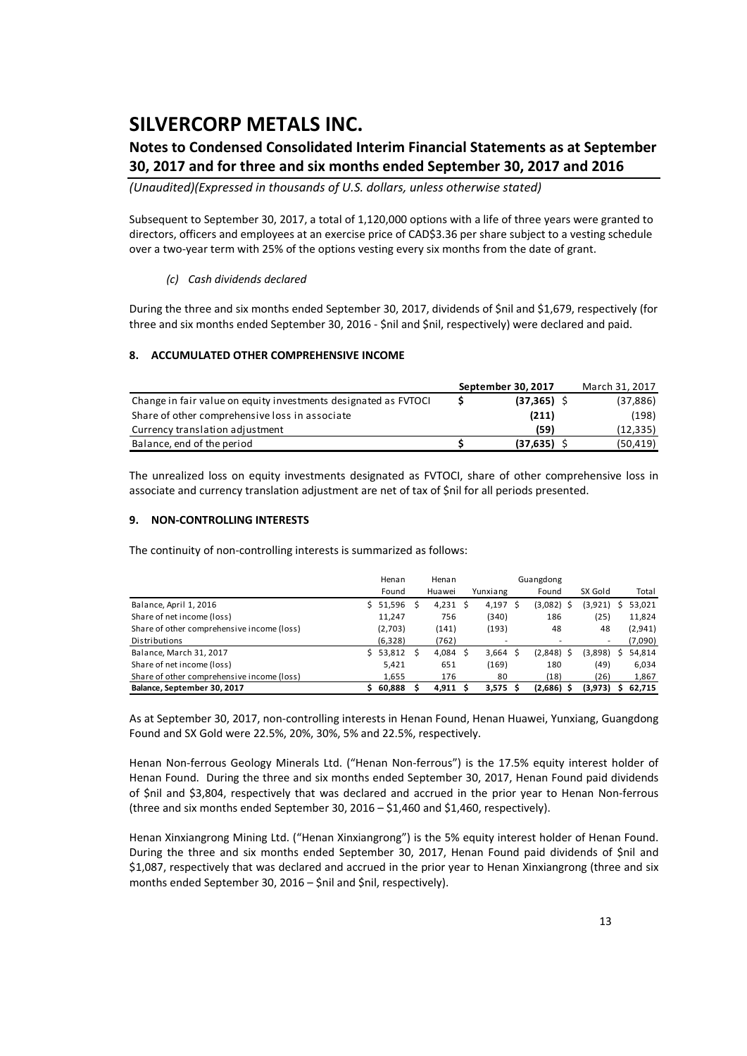## **Notes to Condensed Consolidated Interim Financial Statements as at September 30, 2017 and for three and six months ended September 30, 2017 and 2016**

*(Unaudited)(Expressed in thousands of U.S. dollars, unless otherwise stated)*

Subsequent to September 30, 2017, a total of 1,120,000 options with a life of three years were granted to directors, officers and employees at an exercise price of CAD\$3.36 per share subject to a vesting schedule over a two‐year term with 25% of the options vesting every six months from the date of grant.

### *(c) Cash dividends declared*

During the three and six months ended September 30, 2017, dividends of \$nil and \$1,679, respectively (for three and six months ended September 30, 2016 ‐ \$nil and \$nil, respectively) were declared and paid.

### **8. ACCUMULATED OTHER COMPREHENSIVE INCOME**

|                                                                 | September 30, 2017 | March 31, 2017 |
|-----------------------------------------------------------------|--------------------|----------------|
| Change in fair value on equity investments designated as FVTOCI | $(37, 365)$ \$     | (37, 886)      |
| Share of other comprehensive loss in associate                  | (211)              | (198)          |
| Currency translation adjustment                                 | (59)               | (12, 335)      |
| Balance, end of the period                                      | (37.635)           | (50, 419)      |

The unrealized loss on equity investments designated as FVTOCI, share of other comprehensive loss in associate and currency translation adjustment are net of tax of \$nil for all periods presented.

#### **9. NON‐CONTROLLING INTERESTS**

The continuity of non-controlling interests is summarized as follows:

|                                            | Henan    |     | Henan      |            | Guangdong |         |         |
|--------------------------------------------|----------|-----|------------|------------|-----------|---------|---------|
|                                            | Found    |     | Huawei     | Yunxiang   | Found     | SX Gold | Total   |
| Balance, April 1, 2016                     | 51,596   |     | $4,231$ \$ | 4,197 \$   | (3,082)   | (3,921) | 53,021  |
| Share of net income (loss)                 | 11,247   |     | 756        | (340)      | 186       | (25)    | 11,824  |
| Share of other comprehensive income (loss) | (2,703)  |     | (141)      | (193)      | 48        | 48      | (2,941) |
| Distributions                              | (6, 328) |     | (762)      | ۰          |           | ٠       | (7,090) |
| Balance, March 31, 2017                    | \$53,812 | - Ś | 4,084      | 3,664      | (2,848)   | (3,898) | 54,814  |
| Share of net income (loss)                 | 5.421    |     | 651        | (169)      | 180       | (49)    | 6,034   |
| Share of other comprehensive income (loss) | 1.655    |     | 176        | 80         | (18)      | (26)    | 1,867   |
| Balance, September 30, 2017                | 60,888   |     | 4.911S     | $3,575$ \$ | (2,686)   | (3,973) | 62.715  |

As at September 30, 2017, non‐controlling interests in Henan Found, Henan Huawei, Yunxiang, Guangdong Found and SX Gold were 22.5%, 20%, 30%, 5% and 22.5%, respectively.

Henan Non-ferrous Geology Minerals Ltd. ("Henan Non-ferrous") is the 17.5% equity interest holder of Henan Found. During the three and six months ended September 30, 2017, Henan Found paid dividends of \$nil and \$3,804, respectively that was declared and accrued in the prior year to Henan Non‐ferrous (three and six months ended September 30, 2016 – \$1,460 and \$1,460, respectively).

Henan Xinxiangrong Mining Ltd. ("Henan Xinxiangrong") is the 5% equity interest holder of Henan Found. During the three and six months ended September 30, 2017, Henan Found paid dividends of \$nil and \$1,087, respectively that was declared and accrued in the prior year to Henan Xinxiangrong (three and six months ended September 30, 2016 – \$nil and \$nil, respectively).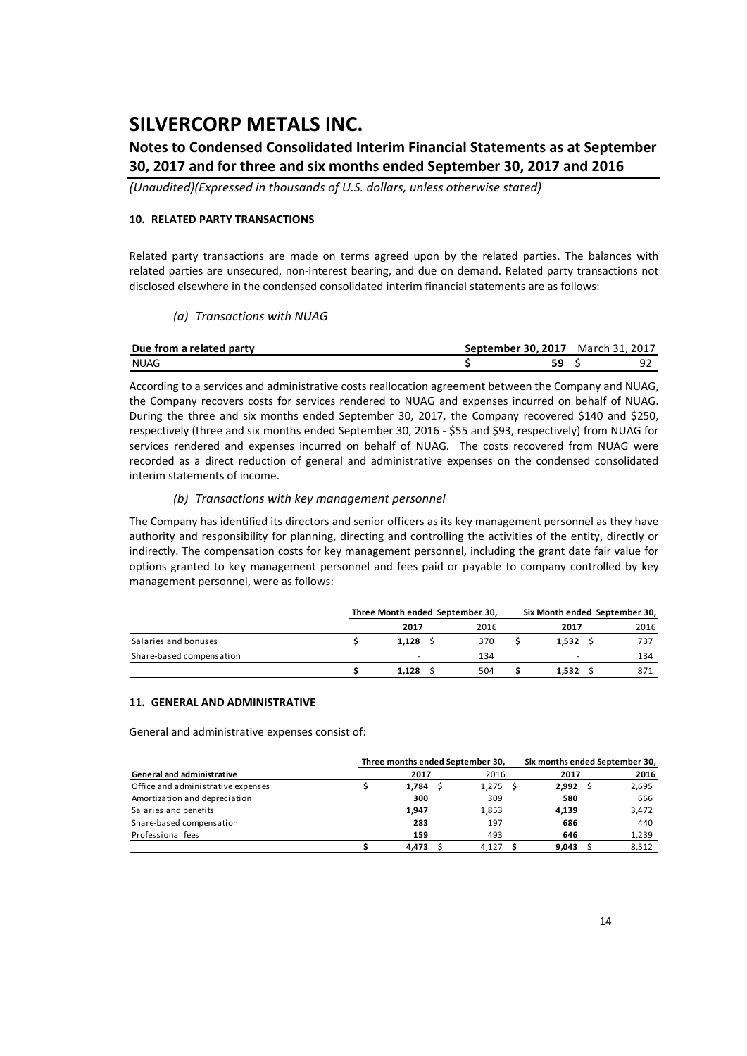### **Notes to Condensed Consolidated Interim Financial Statements as at September 30, 2017 and for three and six months ended September 30, 2017 and 2016**

*(Unaudited)(Expressed in thousands of U.S. dollars, unless otherwise stated)*

#### **10. RELATED PARTY TRANSACTIONS**

Related party transactions are made on terms agreed upon by the related parties. The balances with related parties are unsecured, non-interest bearing, and due on demand. Related party transactions not disclosed elsewhere in the condensed consolidated interim financial statements are as follows:

### *(a) Transactions with NUAG*

| Due from a related party | September 30. 2017 March 31, 2017 |  |
|--------------------------|-----------------------------------|--|
| NUAG                     |                                   |  |

According to a services and administrative costs reallocation agreement between the Company and NUAG, the Company recovers costs for services rendered to NUAG and expenses incurred on behalf of NUAG. During the three and six months ended September 30, 2017, the Company recovered \$140 and \$250, respectively (three and six months ended September 30, 2016 ‐ \$55 and \$93, respectively) from NUAG for services rendered and expenses incurred on behalf of NUAG. The costs recovered from NUAG were recorded as a direct reduction of general and administrative expenses on the condensed consolidated interim statements of income.

### *(b) Transactions with key management personnel*

The Company has identified its directors and senior officers as its key management personnel as they have authority and responsibility for planning, directing and controlling the activities of the entity, directly or indirectly. The compensation costs for key management personnel, including the grant date fair value for options granted to key management personnel and fees paid or payable to company controlled by key management personnel, were as follows:

|                          | Three Month ended September 30, |      | Six Month ended September 30, |       |      |  |
|--------------------------|---------------------------------|------|-------------------------------|-------|------|--|
|                          | 2017                            | 2016 |                               | 2017  | 2016 |  |
| Salaries and bonuses     | $1,128$ \$                      | 370  |                               | 1.532 | 737  |  |
| Share-based compensation | $\overline{\phantom{a}}$        | 134  |                               | -     | 134  |  |
|                          | 1.128                           | 504  |                               | 1.532 | 871  |  |

#### **11. GENERAL AND ADMINISTRATIVE**

General and administrative expenses consist of:

|                                    | Three months ended September 30, |       |              | Six months ended September 30, |       |  |  |
|------------------------------------|----------------------------------|-------|--------------|--------------------------------|-------|--|--|
| <b>General and administrative</b>  |                                  | 2017  | 2016         | 2017                           | 2016  |  |  |
| Office and administrative expenses |                                  | 1.784 | 1,275<br>- S | 2.992                          | 2,695 |  |  |
| Amortization and depreciation      |                                  | 300   | 309          | 580                            | 666   |  |  |
| Salaries and benefits              |                                  | 1.947 | 1.853        | 4.139                          | 3,472 |  |  |
| Share-based compensation           |                                  | 283   | 197          | 686                            | 440   |  |  |
| Professional fees                  |                                  | 159   | 493          | 646                            | 1,239 |  |  |
|                                    |                                  | 4.473 | 4.127        | 9.043                          | 8,512 |  |  |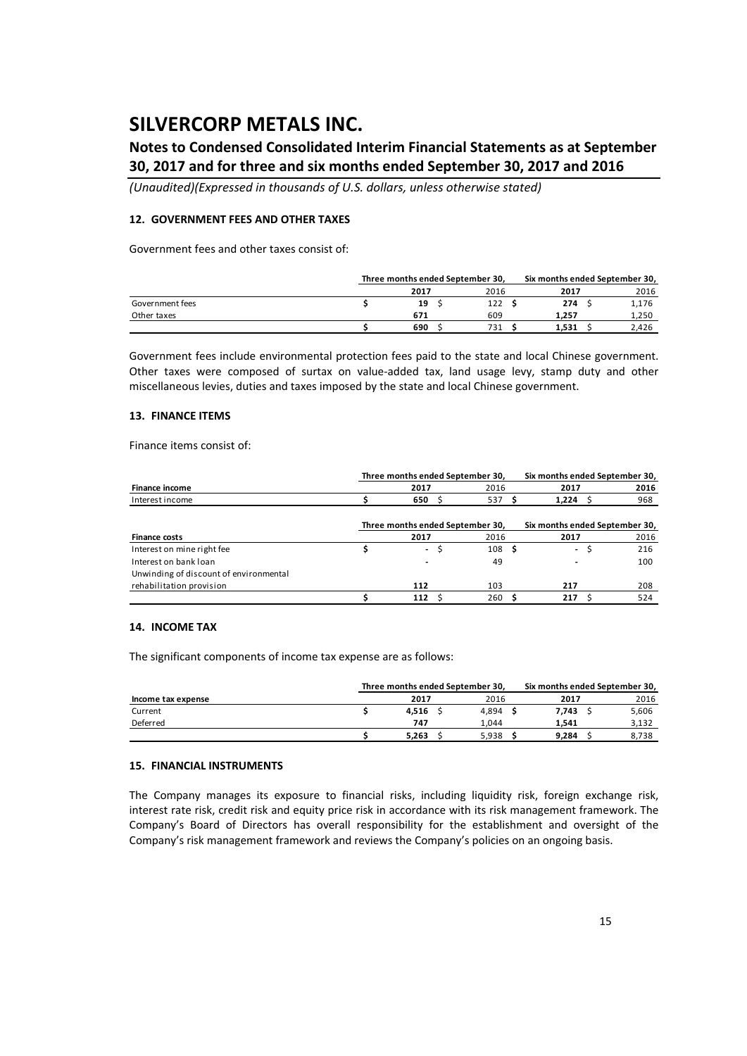## **Notes to Condensed Consolidated Interim Financial Statements as at September 30, 2017 and for three and six months ended September 30, 2017 and 2016**

*(Unaudited)(Expressed in thousands of U.S. dollars, unless otherwise stated)*

#### **12. GOVERNMENT FEES AND OTHER TAXES**

Government fees and other taxes consist of:

|                 | Three months ended September 30, |  |      | Six months ended September 30, |       |  |       |
|-----------------|----------------------------------|--|------|--------------------------------|-------|--|-------|
|                 | 2017                             |  | 2016 |                                | 2017  |  | 2016  |
| Government fees | 19                               |  | 122  |                                | 274   |  | 1,176 |
| Other taxes     | 671                              |  | 609  |                                | 1.257 |  | 1.250 |
|                 | 690                              |  | 731  |                                | 1.531 |  | 2.426 |

Government fees include environmental protection fees paid to the state and local Chinese government. Other taxes were composed of surtax on value‐added tax, land usage levy, stamp duty and other miscellaneous levies, duties and taxes imposed by the state and local Chinese government.

#### **13. FINANCE ITEMS**

Finance items consist of:

|                                        | Three months ended September 30, | Six months ended September 30, |                                |      |  |
|----------------------------------------|----------------------------------|--------------------------------|--------------------------------|------|--|
| Finance income                         | 2017                             | 2016                           | 2017                           | 2016 |  |
| Interest income                        | 650 S                            | 537                            | 1.224 S                        | 968  |  |
|                                        | Three months ended September 30, |                                | Six months ended September 30, |      |  |
| <b>Finance costs</b>                   | 2017                             | 2016                           | 2017                           | 2016 |  |
| Interest on mine right fee             | $\overline{\phantom{a}}$         | 108 <sub>5</sub>               | $\overline{\phantom{0}}$       | 216  |  |
| Interest on bank loan                  | ٠                                | 49                             | -                              | 100  |  |
| Unwinding of discount of environmental |                                  |                                |                                |      |  |
| rehabilitation provision               | 112                              | 103                            | 217                            | 208  |  |
|                                        | 112                              | 260                            | 217                            | 524  |  |

#### **14. INCOME TAX**

The significant components of income tax expense are as follows:

|                    | Three months ended September 30. |       |       | Six months ended September 30, |       |  |
|--------------------|----------------------------------|-------|-------|--------------------------------|-------|--|
| Income tax expense |                                  | 2017  | 2016  | 2017                           | 2016  |  |
| Current            |                                  | 4.516 | 4.894 | 7.743                          | 5,606 |  |
| Deferred           |                                  | 747   | 1.044 | 1.541                          | 3.132 |  |
|                    |                                  | 5.263 | 5.938 | 9.284                          | 8.738 |  |

#### **15. FINANCIAL INSTRUMENTS**

The Company manages its exposure to financial risks, including liquidity risk, foreign exchange risk, interest rate risk, credit risk and equity price risk in accordance with its risk management framework. The Company's Board of Directors has overall responsibility for the establishment and oversight of the Company's risk management framework and reviews the Company's policies on an ongoing basis.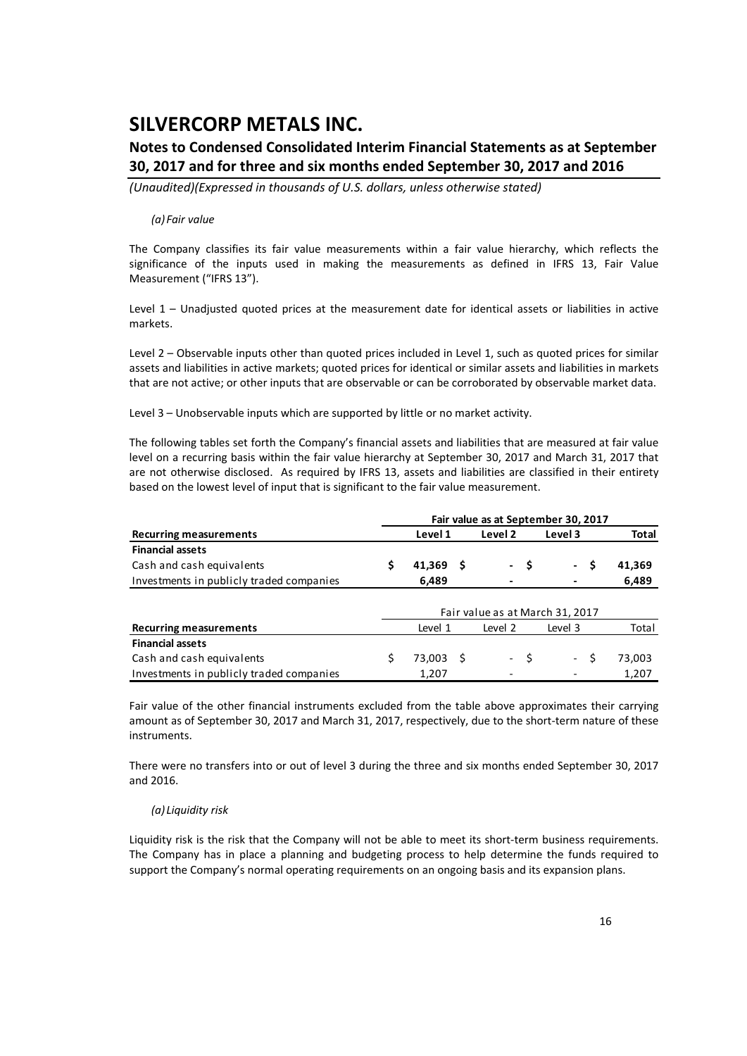### **Notes to Condensed Consolidated Interim Financial Statements as at September 30, 2017 and for three and six months ended September 30, 2017 and 2016**

*(Unaudited)(Expressed in thousands of U.S. dollars, unless otherwise stated)*

#### *(a) Fair value*

The Company classifies its fair value measurements within a fair value hierarchy, which reflects the significance of the inputs used in making the measurements as defined in IFRS 13, Fair Value Measurement ("IFRS 13").

Level 1 – Unadjusted quoted prices at the measurement date for identical assets or liabilities in active markets.

Level 2 – Observable inputs other than quoted prices included in Level 1, such as quoted prices for similar assets and liabilities in active markets; quoted prices for identical or similar assets and liabilities in markets that are not active; or other inputs that are observable or can be corroborated by observable market data.

Level 3 – Unobservable inputs which are supported by little or no market activity.

The following tables set forth the Company's financial assets and liabilities that are measured at fair value level on a recurring basis within the fair value hierarchy at September 30, 2017 and March 31, 2017 that are not otherwise disclosed. As required by IFRS 13, assets and liabilities are classified in their entirety based on the lowest level of input that is significant to the fair value measurement.

|                                          | Fair value as at September 30, 2017 |           |    |                    |      |                                 |              |  |  |  |
|------------------------------------------|-------------------------------------|-----------|----|--------------------|------|---------------------------------|--------------|--|--|--|
| <b>Recurring measurements</b>            |                                     | Level 1   |    | Level <sub>2</sub> |      | Level 3                         | <b>Total</b> |  |  |  |
| <b>Financial assets</b>                  |                                     |           |    |                    |      |                                 |              |  |  |  |
| Cash and cash equivalents                |                                     | 41,369    | -S |                    | - \$ | - \$                            | 41,369       |  |  |  |
| Investments in publicly traded companies |                                     | 6,489     |    |                    |      |                                 | 6,489        |  |  |  |
|                                          |                                     |           |    |                    |      |                                 |              |  |  |  |
|                                          |                                     |           |    |                    |      | Fair value as at March 31, 2017 |              |  |  |  |
| <b>Recurring measurements</b>            |                                     | Level 1   |    | Level 2            |      | Level 3                         | Total        |  |  |  |
| <b>Financial assets</b>                  |                                     |           |    |                    |      |                                 |              |  |  |  |
| Cash and cash equivalents                |                                     | 73.003 \$ |    |                    | - \$ | - \$                            | 73,003       |  |  |  |
| Investments in publicly traded companies |                                     | 1,207     |    |                    |      |                                 | 1,207        |  |  |  |

Fair value of the other financial instruments excluded from the table above approximates their carrying amount as of September 30, 2017 and March 31, 2017, respectively, due to the short-term nature of these instruments.

There were no transfers into or out of level 3 during the three and six months ended September 30, 2017 and 2016.

### *(a) Liquidity risk*

Liquidity risk is the risk that the Company will not be able to meet its short-term business requirements. The Company has in place a planning and budgeting process to help determine the funds required to support the Company's normal operating requirements on an ongoing basis and its expansion plans.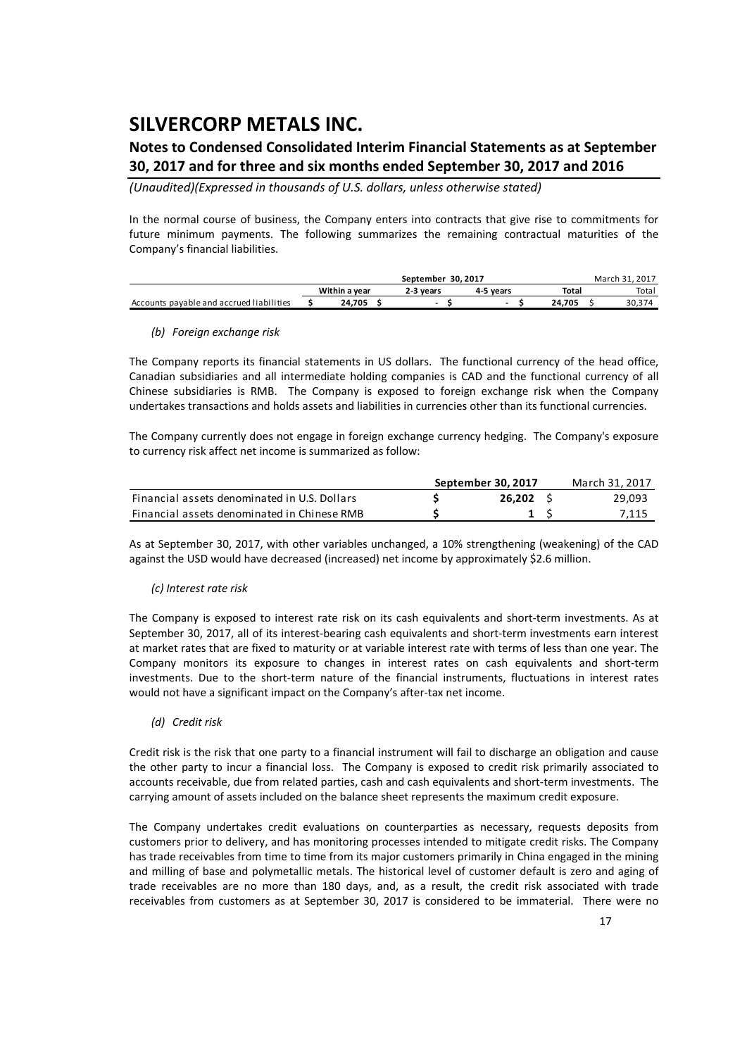### **Notes to Condensed Consolidated Interim Financial Statements as at September 30, 2017 and for three and six months ended September 30, 2017 and 2016**

*(Unaudited)(Expressed in thousands of U.S. dollars, unless otherwise stated)*

In the normal course of business, the Company enters into contracts that give rise to commitments for future minimum payments. The following summarizes the remaining contractual maturities of the Company's financial liabilities.

|                                          |                                         |  | March 31, 2017 |        |       |
|------------------------------------------|-----------------------------------------|--|----------------|--------|-------|
|                                          | Within a year<br>2-3 vears<br>4-5 vears |  |                |        | Total |
| Accounts payable and accrued liabilities | 24.705                                  |  |                | 24.705 | 30,37 |

#### *(b) Foreign exchange risk*

The Company reports its financial statements in US dollars. The functional currency of the head office, Canadian subsidiaries and all intermediate holding companies is CAD and the functional currency of all Chinese subsidiaries is RMB. The Company is exposed to foreign exchange risk when the Company undertakes transactions and holds assets and liabilities in currencies other than its functional currencies.

The Company currently does not engage in foreign exchange currency hedging. The Company's exposure to currency risk affect net income is summarized as follow:

|                                              | September 30, 2017 | March 31, 2017 |
|----------------------------------------------|--------------------|----------------|
| Financial assets denominated in U.S. Dollars | 26.202             | 29,093         |
| Financial assets denominated in Chinese RMB  |                    | 7.115          |

As at September 30, 2017, with other variables unchanged, a 10% strengthening (weakening) of the CAD against the USD would have decreased (increased) net income by approximately \$2.6 million.

### *(c) Interest rate risk*

The Company is exposed to interest rate risk on its cash equivalents and short‐term investments. As at September 30, 2017, all of its interest-bearing cash equivalents and short-term investments earn interest at market rates that are fixed to maturity or at variable interest rate with terms of less than one year. The Company monitors its exposure to changes in interest rates on cash equivalents and short‐term investments. Due to the short-term nature of the financial instruments, fluctuations in interest rates would not have a significant impact on the Company's after-tax net income.

### *(d) Credit risk*

Credit risk is the risk that one party to a financial instrument will fail to discharge an obligation and cause the other party to incur a financial loss. The Company is exposed to credit risk primarily associated to accounts receivable, due from related parties, cash and cash equivalents and short‐term investments. The carrying amount of assets included on the balance sheet represents the maximum credit exposure.

The Company undertakes credit evaluations on counterparties as necessary, requests deposits from customers prior to delivery, and has monitoring processes intended to mitigate credit risks. The Company has trade receivables from time to time from its major customers primarily in China engaged in the mining and milling of base and polymetallic metals. The historical level of customer default is zero and aging of trade receivables are no more than 180 days, and, as a result, the credit risk associated with trade receivables from customers as at September 30, 2017 is considered to be immaterial. There were no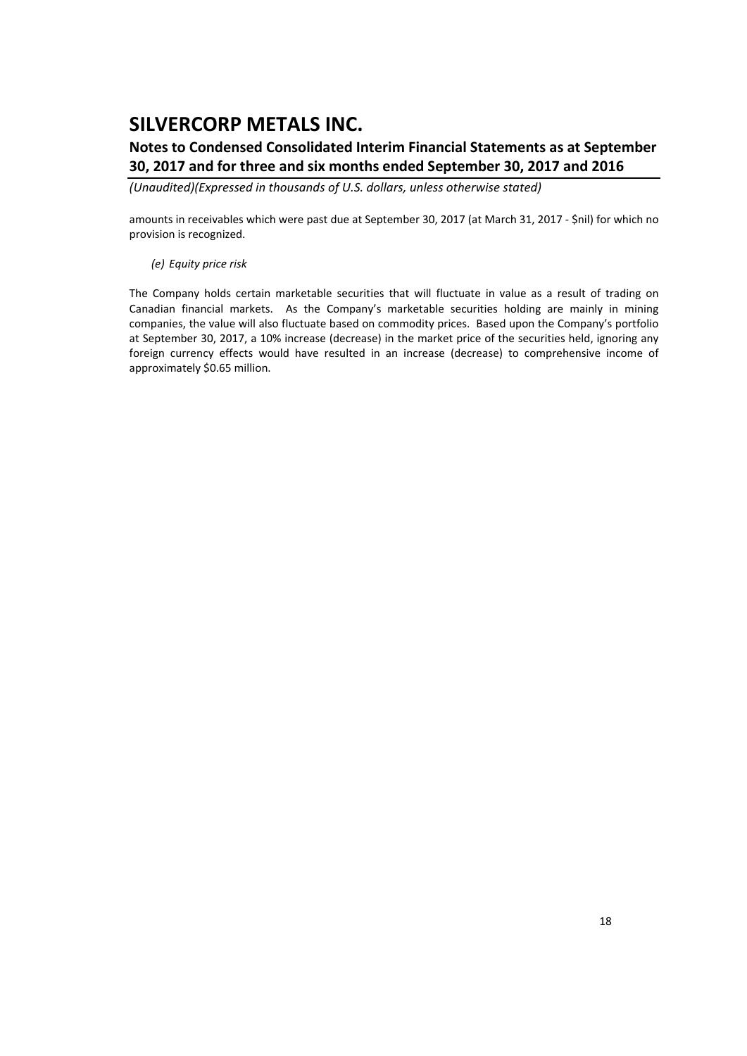## **Notes to Condensed Consolidated Interim Financial Statements as at September 30, 2017 and for three and six months ended September 30, 2017 and 2016**

*(Unaudited)(Expressed in thousands of U.S. dollars, unless otherwise stated)*

amounts in receivables which were past due at September 30, 2017 (at March 31, 2017 ‐ \$nil) for which no provision is recognized.

### *(e) Equity price risk*

The Company holds certain marketable securities that will fluctuate in value as a result of trading on Canadian financial markets. As the Company's marketable securities holding are mainly in mining companies, the value will also fluctuate based on commodity prices. Based upon the Company's portfolio at September 30, 2017, a 10% increase (decrease) in the market price of the securities held, ignoring any foreign currency effects would have resulted in an increase (decrease) to comprehensive income of approximately \$0.65 million.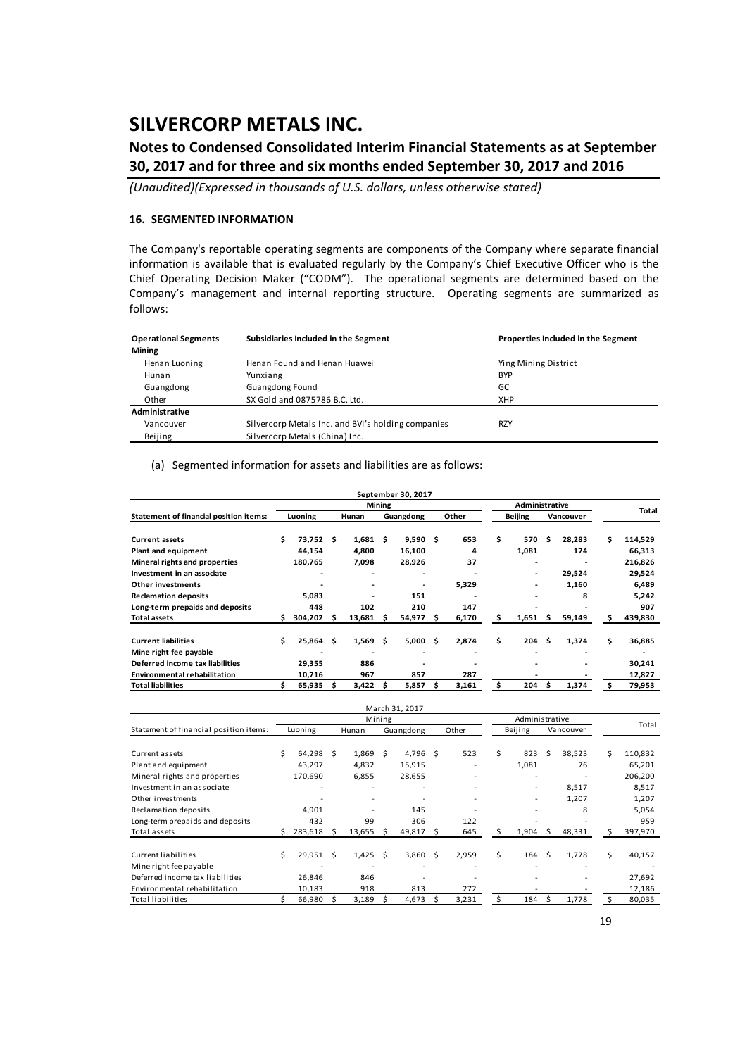## **Notes to Condensed Consolidated Interim Financial Statements as at September 30, 2017 and for three and six months ended September 30, 2017 and 2016**

*(Unaudited)(Expressed in thousands of U.S. dollars, unless otherwise stated)*

### **16. SEGMENTED INFORMATION**

The Company's reportable operating segments are components of the Company where separate financial information is available that is evaluated regularly by the Company's Chief Executive Officer who is the Chief Operating Decision Maker ("CODM"). The operational segments are determined based on the Company's management and internal reporting structure. Operating segments are summarized as follows:

| <b>Operational Segments</b> | Subsidiaries Included in the Segment               | Properties Included in the Segment |
|-----------------------------|----------------------------------------------------|------------------------------------|
| <b>Mining</b>               |                                                    |                                    |
| Henan Luoning               | Henan Found and Henan Huawei                       | Ying Mining District               |
| Hunan                       | Yunxiang                                           | <b>BYP</b>                         |
| Guangdong                   | <b>Guangdong Found</b>                             | GC                                 |
| Other                       | SX Gold and 0875786 B.C. Ltd.                      | <b>XHP</b>                         |
| Administrative              |                                                    |                                    |
| Vancouver                   | Silvercorp Metals Inc. and BVI's holding companies | <b>RZY</b>                         |
| Beijing                     | Silvercorp Metals (China) Inc.                     |                                    |

#### (a) Segmented information for assets and liabilities are as follows:

|                                               |         |         |   |            |               | September 30, 2017 |     |       |                |                          |    |           |    |         |
|-----------------------------------------------|---------|---------|---|------------|---------------|--------------------|-----|-------|----------------|--------------------------|----|-----------|----|---------|
|                                               |         |         |   |            | <b>Mining</b> |                    |     |       |                | <b>Administrative</b>    |    |           |    | Total   |
| <b>Statement of financial position items:</b> | Luoning |         |   | Hunan      |               | Guangdong          |     | Other | <b>Beijing</b> |                          |    | Vancouver |    |         |
|                                               |         |         |   |            |               |                    |     |       |                |                          |    |           |    |         |
| <b>Current assets</b>                         | Ś.      | 73,752  | S | $1,681$ \$ |               | 9,590              | Ŝ.  | 653   | \$             | 570                      | Ś. | 28,283    | Ś. | 114,529 |
| Plant and equipment                           |         | 44,154  |   | 4,800      |               | 16,100             |     | 4     |                | 1,081                    |    | 174       |    | 66,313  |
| Mineral rights and properties                 |         | 180,765 |   | 7,098      |               | 28,926             |     | 37    |                | -                        |    |           |    | 216,826 |
| Investment in an associate                    |         |         |   |            |               |                    |     |       |                | ٠                        |    | 29,524    |    | 29,524  |
| <b>Other investments</b>                      |         |         |   | ۰          |               |                    |     | 5,329 |                | $\overline{\phantom{0}}$ |    | 1,160     |    | 6,489   |
| <b>Reclamation deposits</b>                   |         | 5,083   |   | ۰          |               | 151                |     |       |                |                          |    | 8         |    | 5,242   |
| Long-term prepaids and deposits               |         | 448     |   | 102        |               | 210                |     | 147   |                |                          |    |           |    | 907     |
| <b>Total assets</b>                           |         | 304,202 | s | 13,681     | s             | 54,977             | S   | 6,170 | Ś.             | 1,651                    | s  | 59,149    | Ŝ  | 439,830 |
| <b>Current liabilities</b>                    | Ś.      | 25,864  | Ŝ | 1,569      | - \$          | 5,000              | \$. | 2,874 | \$             | 204                      | Ŝ. | 1,374     | \$ | 36,885  |
| Mine right fee payable                        |         |         |   | ۰          |               |                    |     |       |                | ۰                        |    | ۰         |    | ۰       |
| Deferred income tax liabilities               |         | 29,355  |   | 886        |               |                    |     |       |                | -                        |    | ۰         |    | 30,241  |
| <b>Environmental rehabilitation</b>           |         | 10,716  |   | 967        |               | 857                |     | 287   |                |                          |    |           |    | 12,827  |
| <b>Total liabilities</b>                      |         | 65,935  |   | 3,422      |               | 5.857              | s   | 3,161 | Ś              | 204                      | Ś. | 1.374     |    | 79,953  |

| March 31, 2017                         |         |           |   |        |        |           |    |       |         |                          |           |        |    |         |
|----------------------------------------|---------|-----------|---|--------|--------|-----------|----|-------|---------|--------------------------|-----------|--------|----|---------|
|                                        |         |           |   |        | Mining |           |    |       |         | Administrative           |           |        |    | Total   |
| Statement of financial position items: | Luoning |           |   | Hunan  |        | Guangdong |    | Other | Beijing |                          | Vancouver |        |    |         |
|                                        |         |           |   |        |        |           |    |       |         |                          |           |        |    |         |
| Current assets                         | Ś       | 64,298 \$ |   | 1,869  | - Ś    | 4,796     | Ŝ  | 523   | \$      | 823                      | Ŝ.        | 38,523 | Ś  | 110,832 |
| Plant and equipment                    |         | 43,297    |   | 4,832  |        | 15,915    |    | ٠     |         | 1,081                    |           | 76     |    | 65,201  |
| Mineral rights and properties          |         | 170,690   |   | 6,855  |        | 28,655    |    |       |         |                          |           |        |    | 206,200 |
| Investment in an associate             |         |           |   |        |        |           |    |       |         | $\overline{\phantom{a}}$ |           | 8,517  |    | 8,517   |
| Other investments                      |         |           |   |        |        |           |    |       |         | $\overline{\phantom{a}}$ |           | 1,207  |    | 1,207   |
| Reclamation deposits                   |         | 4,901     |   |        |        | 145       |    |       |         |                          |           | 8      |    | 5,054   |
| Long-term prepaids and deposits        |         | 432       |   | 99     |        | 306       |    | 122   |         |                          |           |        |    | 959     |
| Total assets                           | S.      | 283,618   | S | 13,655 | S      | 49,817    | Ŝ. | 645   | Ś       | 1,904                    | S         | 48,331 |    | 397,970 |
| Current liabilities                    | Ś.      | 29,951 \$ |   | 1,425  | Ŝ      | 3,860     | Ŝ  | 2,959 | Ś.      | 184                      | Ŝ.        | 1,778  | \$ | 40,157  |
| Mine right fee payable                 |         |           |   |        |        |           |    |       |         |                          |           |        |    |         |
| Deferred income tax liabilities        |         | 26,846    |   | 846    |        |           |    |       |         |                          |           |        |    | 27,692  |
| Environmental rehabilitation           |         | 10,183    |   | 918    |        | 813       |    | 272   |         |                          |           |        |    | 12,186  |
| Total liabilities                      |         | 66,980    | S | 3,189  |        | 4,673     | S  | 3,231 |         | 184                      | Ś         | 1,778  |    | 80,035  |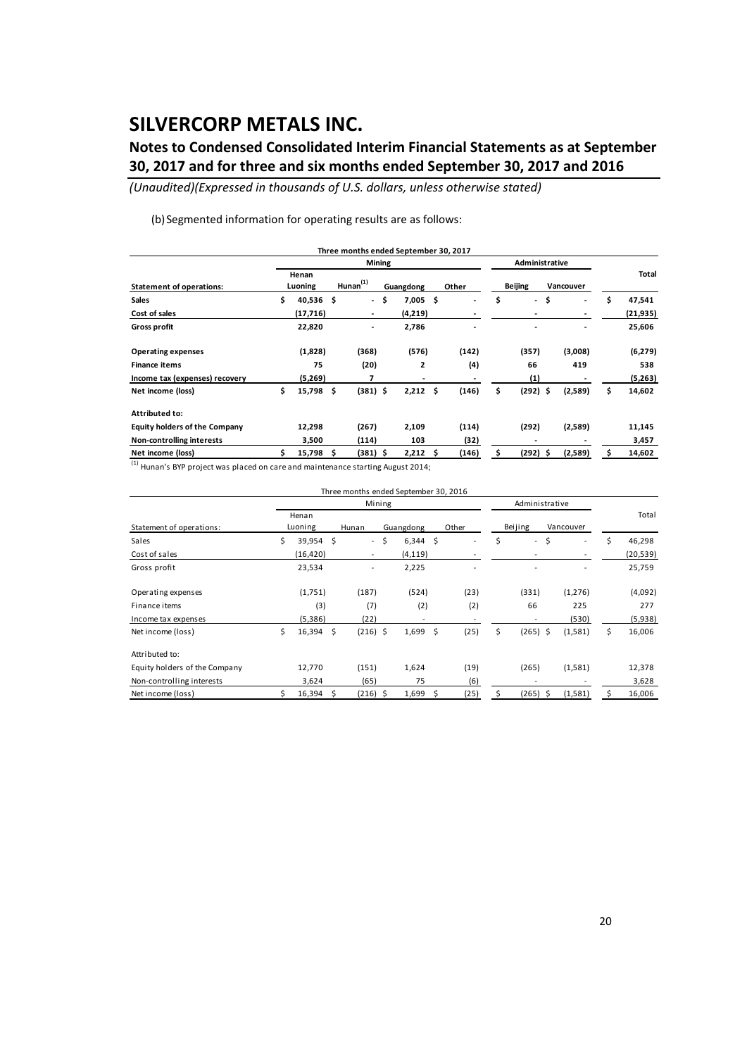## **Notes to Condensed Consolidated Interim Financial Statements as at September 30, 2017 and for three and six months ended September 30, 2017 and 2016**

*(Unaudited)(Expressed in thousands of U.S. dollars, unless otherwise stated)*

(b) Segmented information for operating results are as follows:

|                                      |                  |             |              |               | Three months ended September 30, 2017 |    |                          |         |                          |           |         |              |
|--------------------------------------|------------------|-------------|--------------|---------------|---------------------------------------|----|--------------------------|---------|--------------------------|-----------|---------|--------------|
|                                      |                  |             |              | <b>Mining</b> |                                       |    |                          |         | Administrative           |           |         |              |
| <b>Statement of operations:</b>      | Henan<br>Luoning |             | $Hunn^{(1)}$ |               | Guangdong                             |    | Other                    | Beijing |                          | Vancouver |         | Total        |
| <b>Sales</b>                         | \$               | $40,536$ \$ |              | - \$          | 7,005                                 | \$ | $\overline{\phantom{a}}$ | \$      | $\sim$                   | \$        | ٠       | \$<br>47,541 |
| Cost of sales                        |                  | (17, 716)   | ٠            |               | (4,219)                               |    |                          |         |                          |           |         | (21, 935)    |
| <b>Gross profit</b>                  |                  | 22,820      | -            |               | 2,786                                 |    |                          |         |                          |           | ٠       | 25,606       |
| <b>Operating expenses</b>            |                  | (1,828)     | (368)        |               | (576)                                 |    | (142)                    |         | (357)                    |           | (3,008) | (6, 279)     |
| <b>Finance items</b>                 |                  | 75          | (20)         |               | 2                                     |    | (4)                      |         | 66                       |           | 419     | 538          |
| Income tax (expenses) recovery       |                  | (5,269)     | 7            |               | $\overline{\phantom{a}}$              |    |                          |         | (1)                      |           |         | (5,263)      |
| Net income (loss)                    | \$.              | 15,798 \$   | $(381)$ \$   |               | 2,212                                 | Ŝ  | (146)                    | \$      | $(292)$ \$               |           | (2,589) | \$<br>14,602 |
| <b>Attributed to:</b>                |                  |             |              |               |                                       |    |                          |         |                          |           |         |              |
| <b>Equity holders of the Company</b> |                  | 12,298      | (267)        |               | 2,109                                 |    | (114)                    |         | (292)                    |           | (2,589) | 11,145       |
| Non-controlling interests            |                  | 3,500       | (114)        |               | 103                                   |    | (32)                     |         | $\overline{\phantom{a}}$ |           |         | 3,457        |
| Net income (loss)                    |                  | 15,798 \$   | (381) \$     |               | 2,212                                 | s  | (146)                    |         | $(292)$ \$               |           | (2,589) | 14,602       |

(1) Hunan's BYP project was placed on care and maintenance starting August 2014;

| Three months ended September 30, 2016 |                  |             |    |                          |    |            |    |       |         |                          |    |           |    |           |
|---------------------------------------|------------------|-------------|----|--------------------------|----|------------|----|-------|---------|--------------------------|----|-----------|----|-----------|
|                                       |                  |             |    | Mining                   |    |            |    |       |         | Administrative           |    |           |    |           |
| Statement of operations:              | Henan<br>Luoning |             |    | Hunan                    |    | Guangdong  |    | Other | Beijing |                          |    | Vancouver |    | Total     |
| Sales                                 | \$               | 39,954 \$   |    | $\overline{\phantom{a}}$ | \$ | $6,344$ \$ |    |       | \$      | $\overline{\phantom{0}}$ | \$ |           | Ś  | 46,298    |
| Cost of sales                         |                  | (16, 420)   |    |                          |    | (4,119)    |    |       |         |                          |    |           |    | (20, 539) |
| Gross profit                          |                  | 23,534      |    |                          |    | 2,225      |    |       |         |                          |    |           |    | 25,759    |
| Operating expenses                    |                  | (1,751)     |    | (187)                    |    | (524)      |    | (23)  |         | (331)                    |    | (1, 276)  |    | (4,092)   |
| Finance items                         |                  | (3)         |    | (7)                      |    | (2)        |    | (2)   |         | 66                       |    | 225       |    | 277       |
| Income tax expenses                   |                  | (5,386)     |    | (22)                     |    |            |    |       |         |                          |    | (530)     |    | (5,938)   |
| Net income (loss)                     | \$               | 16,394      | \$ | $(216)$ \$               |    | 1,699      | \$ | (25)  | \$      | $(265)$ \$               |    | (1,581)   | \$ | 16,006    |
| Attributed to:                        |                  |             |    |                          |    |            |    |       |         |                          |    |           |    |           |
| Equity holders of the Company         |                  | 12,770      |    | (151)                    |    | 1,624      |    | (19)  |         | (265)                    |    | (1,581)   |    | 12,378    |
| Non-controlling interests             |                  | 3,624       |    | (65)                     |    | 75         |    | (6)   |         |                          |    |           |    | 3,628     |
| Net income (loss)                     |                  | $16,394$ \$ |    | (216) \$                 |    | 1,699      | Ŝ  | (25)  | Ś.      | (265)                    | -Ś | (1,581)   | Ś  | 16,006    |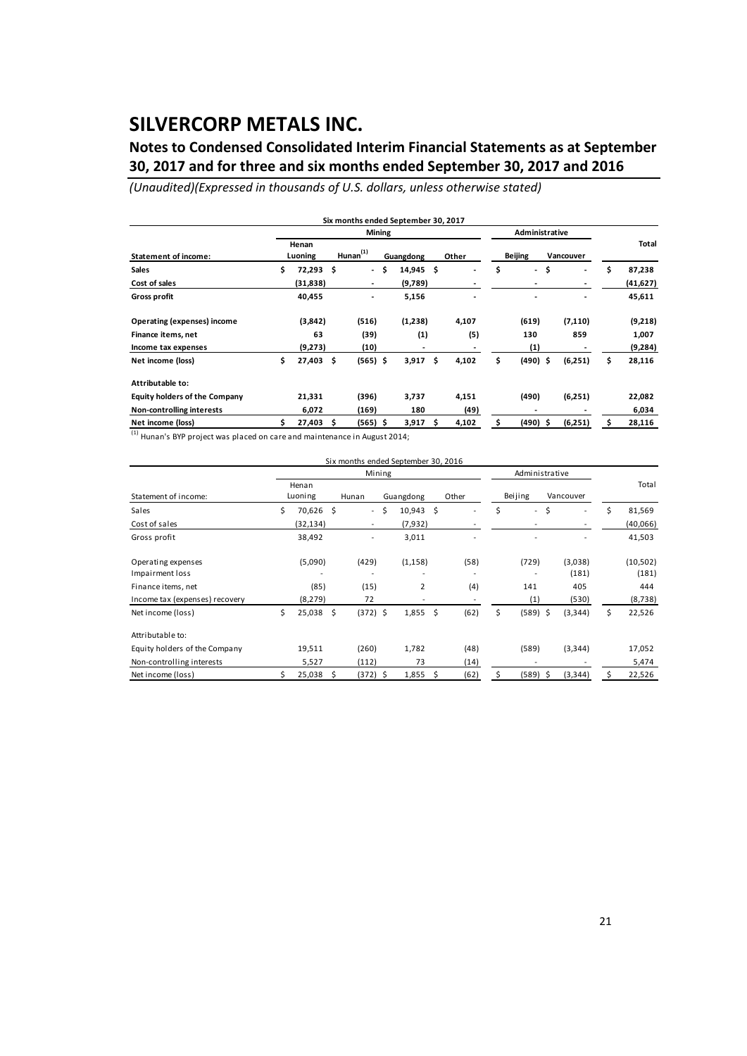## **Notes to Condensed Consolidated Interim Financial Statements as at September 30, 2017 and for three and six months ended September 30, 2017 and 2016**

*(Unaudited)(Expressed in thousands of U.S. dollars, unless otherwise stated)*

|                                      |     |                  |    |                          | <b>Mining</b> |           |                                |                | Administrative           |                          |              |
|--------------------------------------|-----|------------------|----|--------------------------|---------------|-----------|--------------------------------|----------------|--------------------------|--------------------------|--------------|
| <b>Statement of income:</b>          |     | Henan<br>Luoning |    | Hunnan <sup>(1)</sup>    |               | Guangdong | Other                          | <b>Beijing</b> |                          | Vancouver                | Total        |
| <b>Sales</b>                         | \$  | 72,293           | \$ | $\overline{\phantom{a}}$ | -\$           | 14,945    | \$<br>$\overline{\phantom{a}}$ | \$             | $\overline{\phantom{a}}$ | \$<br>٠                  | \$<br>87,238 |
| Cost of sales                        |     | (31,838)         |    | $\overline{\phantom{a}}$ |               | (9,789)   |                                |                |                          | $\overline{\phantom{a}}$ | (41, 627)    |
| <b>Gross profit</b>                  |     | 40,455           |    | -                        |               | 5,156     |                                |                |                          | ٠                        | 45,611       |
| <b>Operating (expenses) income</b>   |     | (3,842)          |    | (516)                    |               | (1,238)   | 4,107                          |                | (619)                    | (7, 110)                 | (9,218)      |
| Finance items, net                   |     | 63               |    | (39)                     |               | (1)       | (5)                            |                | 130                      | 859                      | 1,007        |
| Income tax expenses                  |     | (9,273)          |    | (10)                     |               |           |                                |                | (1)                      |                          | (9, 284)     |
| Net income (loss)                    | \$  | 27,403           | \$ | $(565)$ \$               |               | 3,917     | \$<br>4,102                    | \$             | $(490)$ \$               | (6,251)                  | \$<br>28,116 |
| Attributable to:                     |     |                  |    |                          |               |           |                                |                |                          |                          |              |
| <b>Equity holders of the Company</b> |     | 21,331           |    | (396)                    |               | 3,737     | 4,151                          |                | (490)                    | (6,251)                  | 22,082       |
| Non-controlling interests            |     | 6,072            |    | (169)                    |               | 180       | (49)                           |                |                          |                          | 6,034        |
| Net income (loss)                    | \$. | 27,403           | Ś  | $(565)$ \$               |               | 3,917     | \$<br>4,102                    | Ś              | $(490)$ \$               | (6,251)                  | 28,116       |

 $^{1}$  Hunan's BYP project was placed on care and maintenance in August 2014:

| Six months ended September 30, 2016 |    |                  |  |                          |    |                   |     |       |    |                |           |    |           |
|-------------------------------------|----|------------------|--|--------------------------|----|-------------------|-----|-------|----|----------------|-----------|----|-----------|
|                                     |    |                  |  | Mining                   |    |                   |     |       |    | Administrative |           |    |           |
| Statement of income:                |    | Henan<br>Luoning |  | Hunan                    |    | Guangdong         |     | Other |    | Beijing        | Vancouver |    | Total     |
| Sales                               | \$ | 70,626 \$        |  | $\overline{\phantom{a}}$ | \$ | $10,943 \quad $5$ |     |       | \$ | \$<br>$\sim$   | ٠         | \$ | 81,569    |
| Cost of sales                       |    | (32, 134)        |  | $\overline{\phantom{a}}$ |    | (7,932)           |     |       |    |                | ٠         |    | (40,066)  |
| Gross profit                        |    | 38,492           |  |                          |    | 3,011             |     |       |    |                |           |    | 41,503    |
| Operating expenses                  |    | (5,090)          |  | (429)                    |    | (1, 158)          |     | (58)  |    | (729)          | (3,038)   |    | (10, 502) |
| Impairment loss                     |    |                  |  |                          |    |                   |     |       |    |                | (181)     |    | (181)     |
| Finance items, net                  |    | (85)             |  | (15)                     |    | $\overline{2}$    |     | (4)   |    | 141            | 405       |    | 444       |
| Income tax (expenses) recovery      |    | (8, 279)         |  | 72                       |    |                   |     |       |    | (1)            | (530)     |    | (8, 738)  |
| Net income (loss)                   | \$ | 25,038 \$        |  | $(372)$ \$               |    | 1,855             | \$  | (62)  | \$ | $(589)$ \$     | (3, 344)  | \$ | 22,526    |
| Attributable to:                    |    |                  |  |                          |    |                   |     |       |    |                |           |    |           |
| Equity holders of the Company       |    | 19,511           |  | (260)                    |    | 1,782             |     | (48)  |    | (589)          | (3, 344)  |    | 17,052    |
| Non-controlling interests           |    | 5,527            |  | (112)                    |    | 73                |     | (14)  |    |                |           |    | 5,474     |
| Net income (loss)                   |    | 25,038 \$        |  | (372) \$                 |    | 1,855             | \$. | (62)  | \$ | $(589)$ \$     | (3, 344)  |    | 22,526    |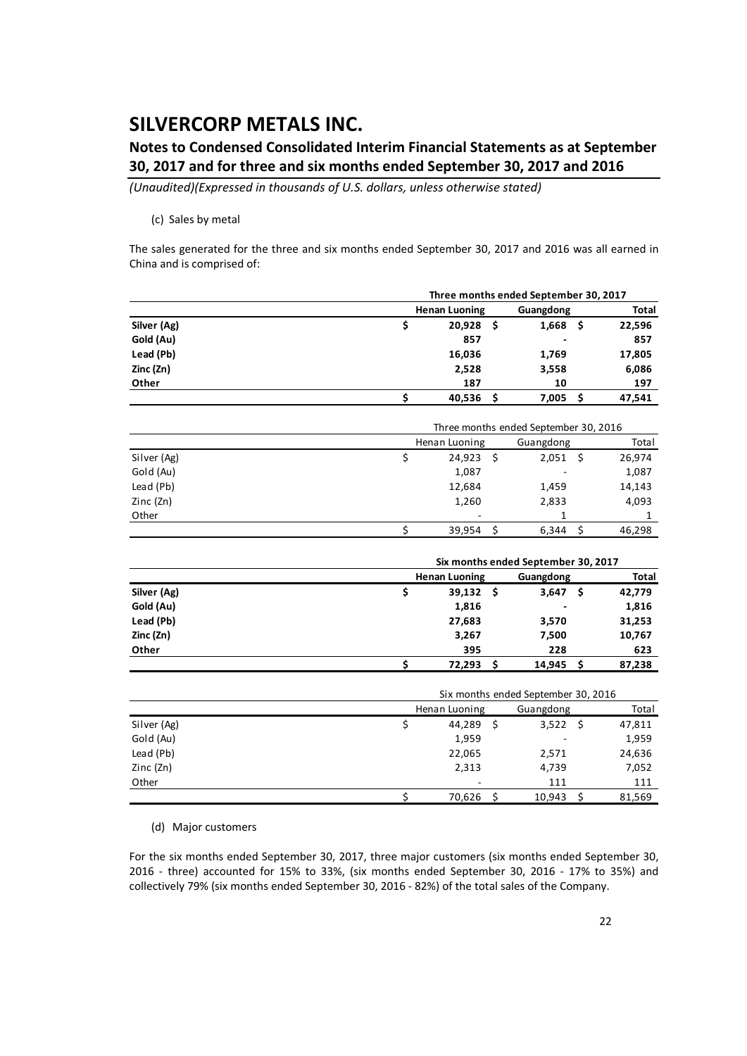## **Notes to Condensed Consolidated Interim Financial Statements as at September 30, 2017 and for three and six months ended September 30, 2017 and 2016**

*(Unaudited)(Expressed in thousands of U.S. dollars, unless otherwise stated)*

#### (c) Sales by metal

The sales generated for the three and six months ended September 30, 2017 and 2016 was all earned in China and is comprised of:

|             |                                     |    | Three months ended September 30, 2017 |     |              |  |  |  |  |
|-------------|-------------------------------------|----|---------------------------------------|-----|--------------|--|--|--|--|
|             | <b>Henan Luoning</b>                |    | Guangdong                             |     | <b>Total</b> |  |  |  |  |
| Silver (Ag) | \$<br>20,928                        | \$ | 1,668                                 | \$  | 22,596       |  |  |  |  |
| Gold (Au)   | 857                                 |    |                                       |     | 857          |  |  |  |  |
| Lead (Pb)   | 16,036                              |    | 1,769                                 |     | 17,805       |  |  |  |  |
| Zinc (Zn)   | 2,528                               |    | 3,558                                 |     | 6,086        |  |  |  |  |
| Other       | 187                                 |    | 10                                    |     | 197          |  |  |  |  |
|             | \$<br>40,536                        | \$ | 7,005                                 | \$  | 47,541       |  |  |  |  |
|             |                                     |    |                                       |     |              |  |  |  |  |
|             |                                     |    | Three months ended September 30, 2016 |     |              |  |  |  |  |
|             | Henan Luoning                       |    | Guangdong                             |     | Total        |  |  |  |  |
| Silver (Ag) | \$<br>24,923                        | \$ | 2,051                                 | \$  | 26,974       |  |  |  |  |
| Gold (Au)   | 1,087                               |    |                                       |     | 1,087        |  |  |  |  |
| Lead (Pb)   | 12,684                              |    | 1,459                                 |     | 14,143       |  |  |  |  |
| Zinc (Zn)   | 1,260                               |    | 2,833                                 |     | 4,093        |  |  |  |  |
| Other       |                                     |    | 1                                     |     | 1            |  |  |  |  |
|             | \$<br>39,954                        | \$ | 6,344                                 | \$  | 46,298       |  |  |  |  |
|             |                                     |    |                                       |     |              |  |  |  |  |
|             | Six months ended September 30, 2017 |    |                                       |     |              |  |  |  |  |
|             | <b>Henan Luoning</b>                |    | Guangdong                             |     | <b>Total</b> |  |  |  |  |
| Silver (Ag) | \$<br>39,132                        | \$ | 3,647                                 | \$. | 42,779       |  |  |  |  |
| Gold (Au)   | 1,816                               |    |                                       |     | 1,816        |  |  |  |  |
| Lead (Pb)   | 27,683                              |    | 3,570                                 |     | 31,253       |  |  |  |  |
| Zinc (Zn)   | 3,267                               |    | 7,500                                 |     | 10,767       |  |  |  |  |
| Other       | 395                                 |    | 228                                   |     | 623          |  |  |  |  |
|             | \$<br>72,293                        | \$ | 14,945                                | \$  | 87,238       |  |  |  |  |
|             |                                     |    | Six months ended September 30, 2016   |     |              |  |  |  |  |
|             | Henan Luoning                       |    | Guangdong                             |     | Total        |  |  |  |  |
| Silver (Ag) | \$<br>44,289                        | \$ | 3,522                                 | \$  | 47,811       |  |  |  |  |
| Gold (Au)   | 1,959                               |    |                                       |     | 1,959        |  |  |  |  |
| Lead (Pb)   | 22,065                              |    | 2,571                                 |     | 24,636       |  |  |  |  |
| Zinc (Zn)   | 2,313                               |    | 4,739                                 |     | 7,052        |  |  |  |  |
| Other       |                                     |    | 111                                   |     | 111          |  |  |  |  |
|             | \$<br>70,626                        | \$ | 10,943                                | \$  | 81,569       |  |  |  |  |

(d) Major customers

For the six months ended September 30, 2017, three major customers (six months ended September 30, 2016 ‐ three) accounted for 15% to 33%, (six months ended September 30, 2016 ‐ 17% to 35%) and collectively 79% (six months ended September 30, 2016 ‐ 82%) of the total sales of the Company.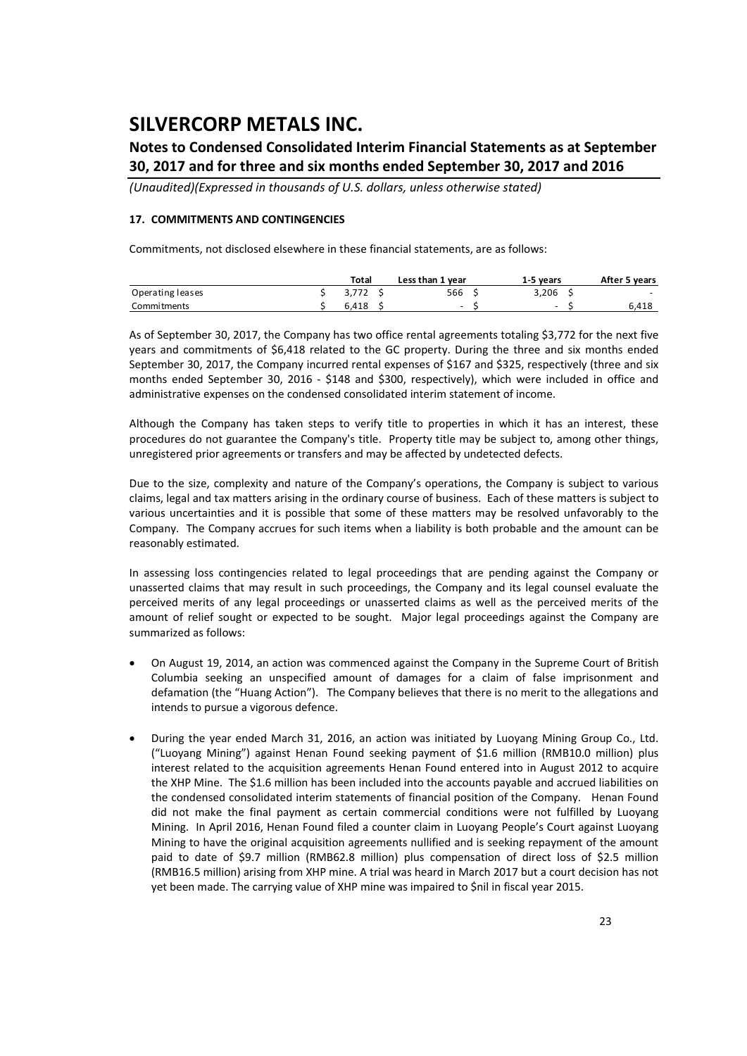## **Notes to Condensed Consolidated Interim Financial Statements as at September 30, 2017 and for three and six months ended September 30, 2017 and 2016**

*(Unaudited)(Expressed in thousands of U.S. dollars, unless otherwise stated)*

#### **17. COMMITMENTS AND CONTINGENCIES**

Commitments, not disclosed elsewhere in these financial statements, are as follows:

|                  | Total | Less than 1 year | 1-5 years                | After 5 years            |
|------------------|-------|------------------|--------------------------|--------------------------|
| Operating leases |       | 566              | 3.206                    | $\overline{\phantom{0}}$ |
| Commitments      | 6.418 | $\sim$           | $\overline{\phantom{0}}$ | 6,418                    |

As of September 30, 2017, the Company has two office rental agreements totaling \$3,772 for the next five years and commitments of \$6,418 related to the GC property. During the three and six months ended September 30, 2017, the Company incurred rental expenses of \$167 and \$325, respectively (three and six months ended September 30, 2016 - \$148 and \$300, respectively), which were included in office and administrative expenses on the condensed consolidated interim statement of income.

Although the Company has taken steps to verify title to properties in which it has an interest, these procedures do not guarantee the Company's title. Property title may be subject to, among other things, unregistered prior agreements or transfers and may be affected by undetected defects.

Due to the size, complexity and nature of the Company's operations, the Company is subject to various claims, legal and tax matters arising in the ordinary course of business. Each of these matters is subject to various uncertainties and it is possible that some of these matters may be resolved unfavorably to the Company. The Company accrues for such items when a liability is both probable and the amount can be reasonably estimated.

In assessing loss contingencies related to legal proceedings that are pending against the Company or unasserted claims that may result in such proceedings, the Company and its legal counsel evaluate the perceived merits of any legal proceedings or unasserted claims as well as the perceived merits of the amount of relief sought or expected to be sought. Major legal proceedings against the Company are summarized as follows:

- On August 19, 2014, an action was commenced against the Company in the Supreme Court of British Columbia seeking an unspecified amount of damages for a claim of false imprisonment and defamation (the "Huang Action"). The Company believes that there is no merit to the allegations and intends to pursue a vigorous defence.
- During the year ended March 31, 2016, an action was initiated by Luoyang Mining Group Co., Ltd. ("Luoyang Mining") against Henan Found seeking payment of \$1.6 million (RMB10.0 million) plus interest related to the acquisition agreements Henan Found entered into in August 2012 to acquire the XHP Mine. The \$1.6 million has been included into the accounts payable and accrued liabilities on the condensed consolidated interim statements of financial position of the Company. Henan Found did not make the final payment as certain commercial conditions were not fulfilled by Luoyang Mining. In April 2016, Henan Found filed a counter claim in Luoyang People's Court against Luoyang Mining to have the original acquisition agreements nullified and is seeking repayment of the amount paid to date of \$9.7 million (RMB62.8 million) plus compensation of direct loss of \$2.5 million (RMB16.5 million) arising from XHP mine. A trial was heard in March 2017 but a court decision has not yet been made. The carrying value of XHP mine was impaired to \$nil in fiscal year 2015.